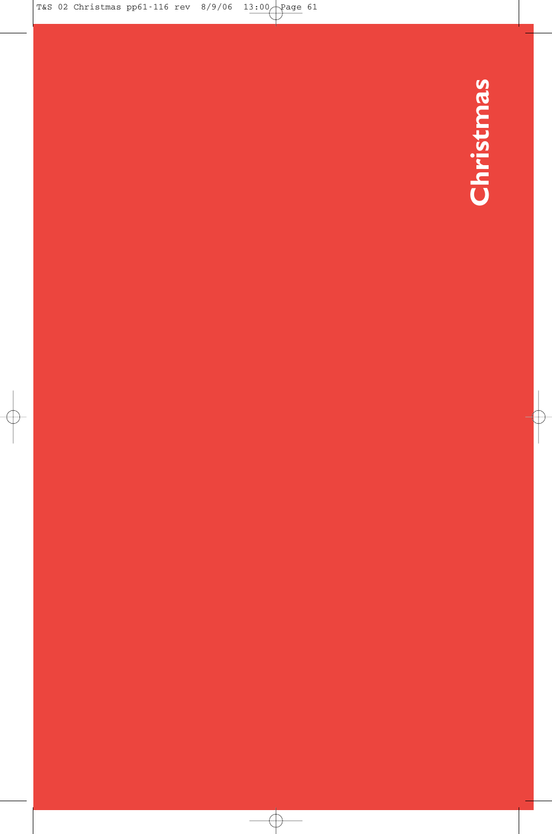Christmas **Christmas**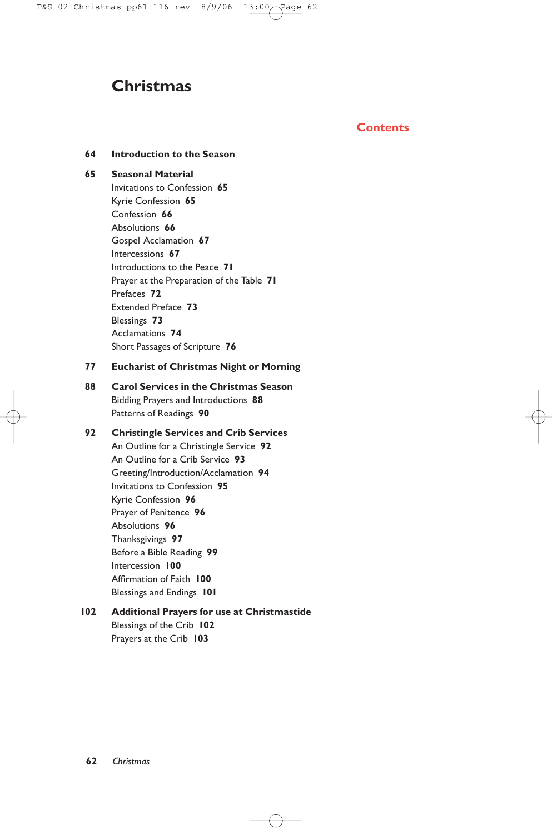## **Christmas**

## **Contents**

#### **64 Introduction to the Season**

## **65 Seasonal Material** Invitations to Confession **65**

Kyrie Confession **65** Confession **66** Absolutions **66** Gospel Acclamation **67** Intercessions **67** Introductions to the Peace **71** Prayer at the Preparation of the Table **71** Prefaces **72** Extended Preface **73** Blessings **73** Acclamations **74** Short Passages of Scripture **76**

#### **77 Eucharist of Christmas Night or Morning**

#### **88 Carol Services in the Christmas Season** Bidding Prayers and Introductions **88** Patterns of Readings **90**

#### **92 Christingle Services and Crib Services**

An Outline for a Christingle Service **92** An Outline for a Crib Service **93** Greeting/Introduction/Acclamation **94** Invitations to Confession **95** Kyrie Confession **96** Prayer of Penitence **96** Absolutions **96** Thanksgivings **97** Before a Bible Reading **99** Intercession **100** Affirmation of Faith **100** Blessings and Endings **101**

#### **102 Additional Prayers for use at Christmastide** Blessings of the Crib **102** Prayers at the Crib **103**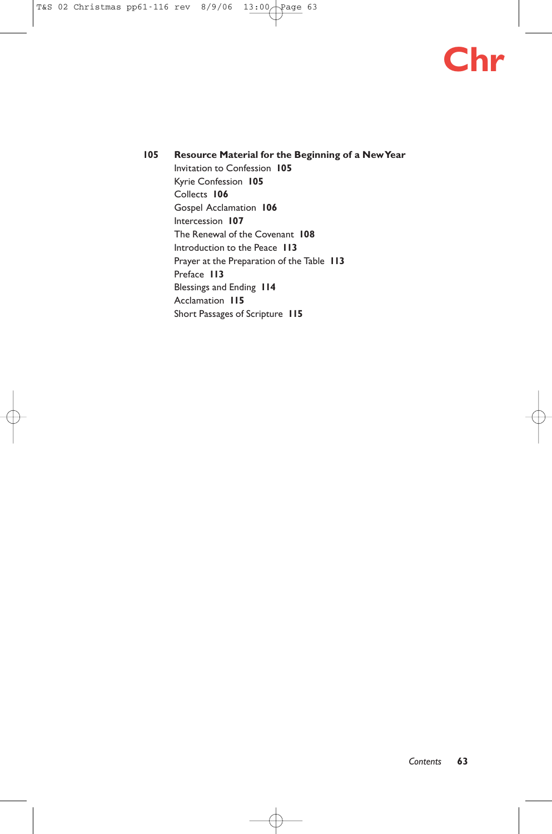## **105 Resource Material for the Beginning of a New Year** Invitation to Confession **105** Kyrie Confession **105** Collects **106** Gospel Acclamation **106** Intercession **107** The Renewal of the Covenant **108** Introduction to the Peace **113** Prayer at the Preparation of the Table **113** Preface **113** Blessings and Ending **114** Acclamation **115** Short Passages of Scripture **115**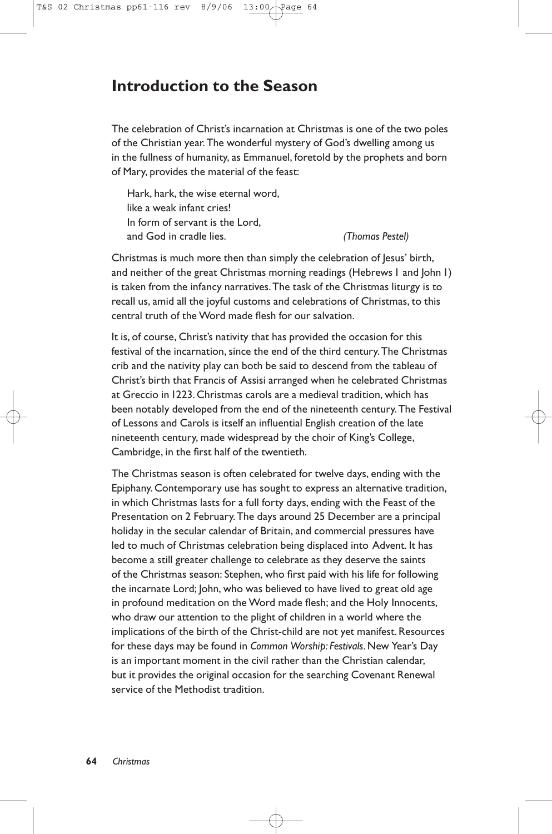## **Introduction to the Season**

The celebration of Christ's incarnation at Christmas is one of the two poles of the Christian year.The wonderful mystery of God's dwelling among us in the fullness of humanity, as Emmanuel, foretold by the prophets and born of Mary, provides the material of the feast:

Hark, hark, the wise eternal word, like a weak infant cries! In form of servant is the Lord, and God in cradle lies. *(Thomas Pestel)*

Christmas is much more then than simply the celebration of Jesus' birth, and neither of the great Christmas morning readings (Hebrews 1 and John 1) is taken from the infancy narratives.The task of the Christmas liturgy is to recall us, amid all the joyful customs and celebrations of Christmas, to this central truth of the Word made flesh for our salvation.

It is, of course, Christ's nativity that has provided the occasion for this festival of the incarnation, since the end of the third century.The Christmas crib and the nativity play can both be said to descend from the tableau of Christ's birth that Francis of Assisi arranged when he celebrated Christmas at Greccio in 1223. Christmas carols are a medieval tradition, which has been notably developed from the end of the nineteenth century.The Festival of Lessons and Carols is itself an influential English creation of the late nineteenth century, made widespread by the choir of King's College, Cambridge, in the first half of the twentieth.

The Christmas season is often celebrated for twelve days, ending with the Epiphany. Contemporary use has sought to express an alternative tradition, in which Christmas lasts for a full forty days, ending with the Feast of the Presentation on 2 February.The days around 25 December are a principal holiday in the secular calendar of Britain, and commercial pressures have led to much of Christmas celebration being displaced into Advent. It has become a still greater challenge to celebrate as they deserve the saints of the Christmas season: Stephen, who first paid with his life for following the incarnate Lord; John, who was believed to have lived to great old age in profound meditation on the Word made flesh; and the Holy Innocents, who draw our attention to the plight of children in a world where the implications of the birth of the Christ-child are not yet manifest. Resources for these days may be found in *Common Worship: Festivals.*New Year's Day is an important moment in the civil rather than the Christian calendar, but it provides the original occasion for the searching Covenant Renewal service of the Methodist tradition.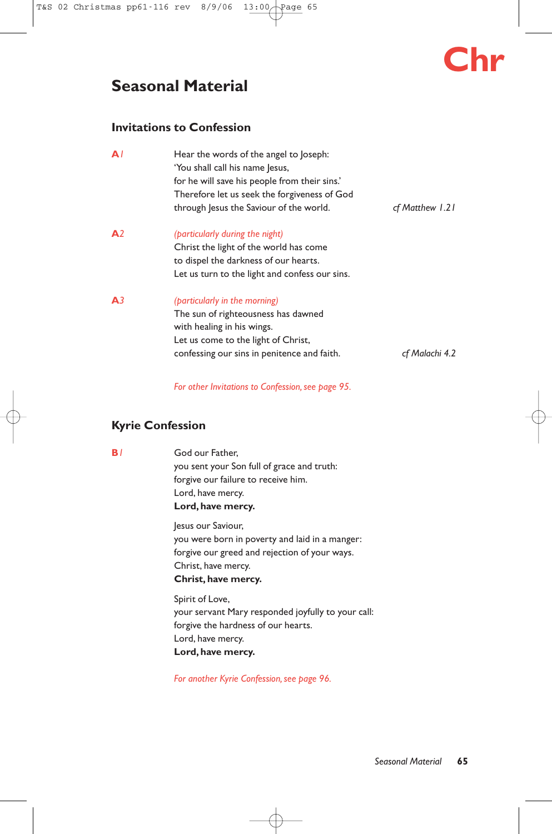## **Seasonal Material**

## **Invitations to Confession**

| A۱             | Hear the words of the angel to Joseph:<br>'You shall call his name Jesus,<br>for he will save his people from their sins.'<br>Therefore let us seek the forgiveness of God<br>through Jesus the Saviour of the world. | cf Matthew 1.21 |
|----------------|-----------------------------------------------------------------------------------------------------------------------------------------------------------------------------------------------------------------------|-----------------|
| $\mathbf{A}2$  | (particularly during the night)<br>Christ the light of the world has come<br>to dispel the darkness of our hearts.<br>Let us turn to the light and confess our sins.                                                  |                 |
| A <sub>3</sub> | (particularly in the morning)<br>The sun of righteousness has dawned<br>with healing in his wings.<br>Let us come to the light of Christ,<br>confessing our sins in penitence and faith.                              | cf Malachi 4.2  |

*For other Invitations to Confession, see page 95.*

## **Kyrie Confession**

**B***1* God our Father, you sent your Son full of grace and truth: forgive our failure to receive him. Lord, have mercy. **Lord, have mercy.**

Jesus our Saviour, you were born in poverty and laid in a manger: forgive our greed and rejection of your ways. Christ, have mercy. **Christ, have mercy.**

Spirit of Love, your servant Mary responded joyfully to your call: forgive the hardness of our hearts. Lord, have mercy. **Lord, have mercy.**

*For another Kyrie Confession, see page 96.*

**Chr**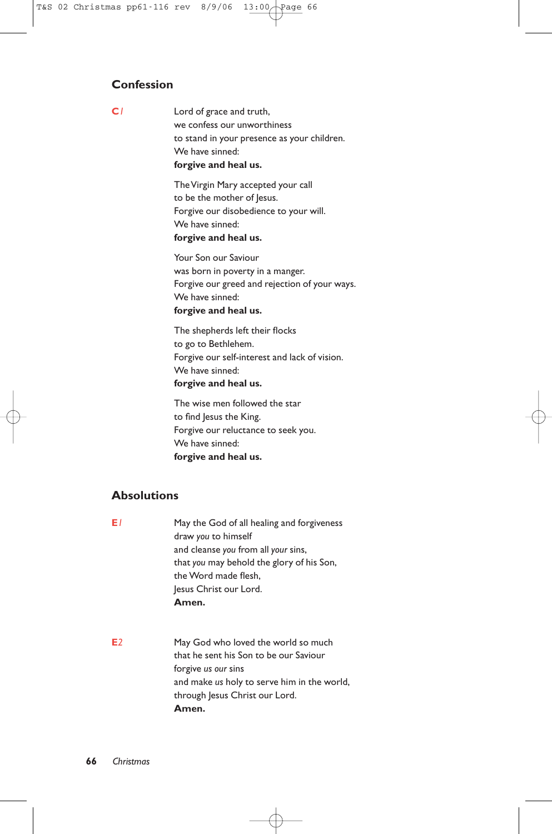## **Confession**

**C***1* Lord of grace and truth, we confess our unworthiness to stand in your presence as your children. We have sinned: **forgive and heal us.**

> The Virgin Mary accepted your call to be the mother of Jesus. Forgive our disobedience to your will. We have sinned: **forgive and heal us.**

Your Son our Saviour was born in poverty in a manger. Forgive our greed and rejection of your ways. We have sinned: **forgive and heal us.**

The shepherds left their flocks to go to Bethlehem. Forgive our self-interest and lack of vision. We have sinned: **forgive and heal us.**

The wise men followed the star to find Jesus the King. Forgive our reluctance to seek you. We have sinned: **forgive and heal us.**

## **Absolutions**

- **E***1* May the God of all healing and forgiveness draw *you* to himself and cleanse *you* from all *your* sins, that *you* may behold the glory of his Son, the Word made flesh, Jesus Christ our Lord. **Amen.**
- **E***2* May God who loved the world so much that he sent his Son to be our Saviour forgive *us our* sins and make *us* holy to serve him in the world, through Jesus Christ our Lord. **Amen.**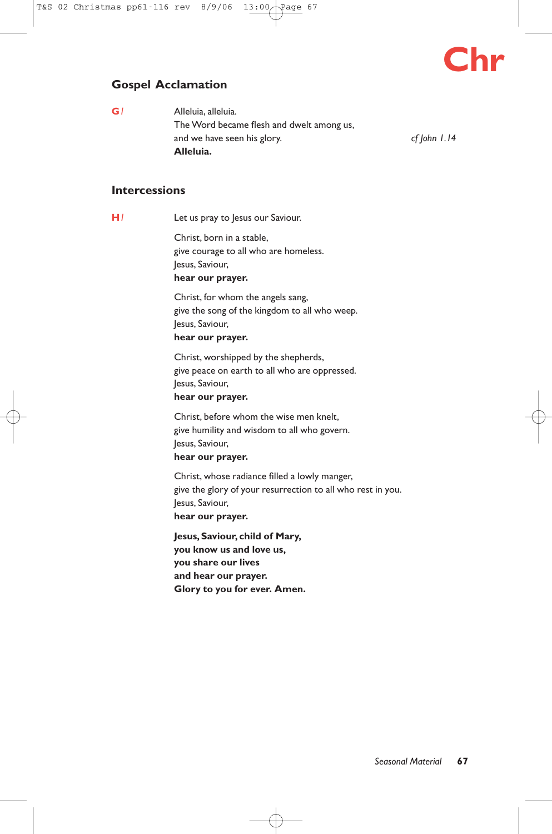

## **Gospel Acclamation**

**G***1* Alleluia, alleluia. The Word became flesh and dwelt among us, and we have seen his glory. *cf John 1.14* **Alleluia.**

## **Intercessions**

**H***1* Let us pray to Jesus our Saviour.

Christ, born in a stable, give courage to all who are homeless. Jesus, Saviour, **hear our prayer.**

Christ, for whom the angels sang, give the song of the kingdom to all who weep. Jesus, Saviour, **hear our prayer.**

Christ, worshipped by the shepherds, give peace on earth to all who are oppressed. Jesus, Saviour, **hear our prayer.**

Christ, before whom the wise men knelt, give humility and wisdom to all who govern. Jesus, Saviour, **hear our prayer.**

Christ, whose radiance filled a lowly manger, give the glory of your resurrection to all who rest in you. Jesus, Saviour, **hear our prayer.**

**Jesus, Saviour, child of Mary, you know us and love us, you share our lives and hear our prayer. Glory to you for ever. Amen.**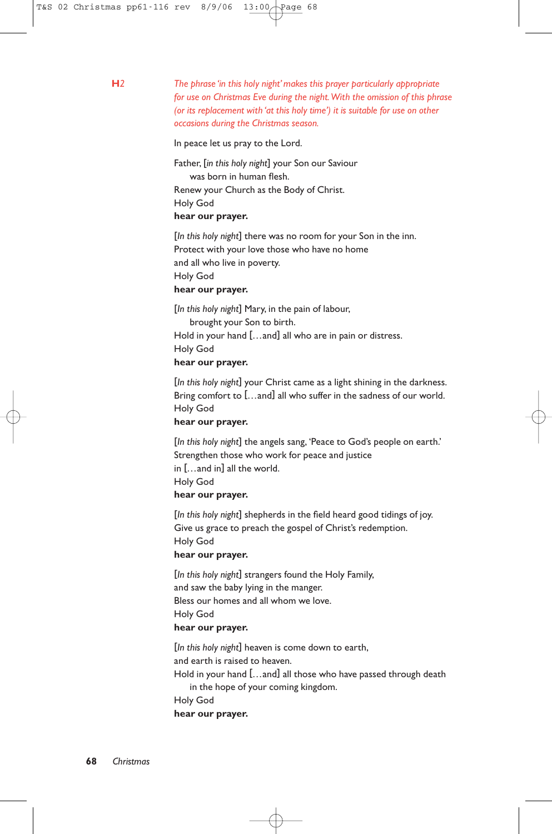**H***2 The phrase 'in this holy night' makes this prayer particularly appropriate for use on Christmas Eve during the night.With the omission of this phrase (or its replacement with 'at this holy time') it is suitable for use on other occasions during the Christmas season.*

In peace let us pray to the Lord.

Father, [*in this holy night*] your Son our Saviour was born in human flesh. Renew your Church as the Body of Christ. Holy God **hear our prayer.**

[*In this holy night*] there was no room for your Son in the inn. Protect with your love those who have no home and all who live in poverty. Holy God **hear our prayer.**

[*In this holy night*] Mary, in the pain of labour,

brought your Son to birth. Hold in your hand [*…*and] all who are in pain or distress.

Holy God

#### **hear our prayer.**

[*In this holy night*] your Christ came as a light shining in the darkness. Bring comfort to [*…*and] all who suffer in the sadness of our world. Holy God

#### **hear our prayer.**

[*In this holy night*] the angels sang, 'Peace to God's people on earth.' Strengthen those who work for peace and justice in [*…*and in] all the world. Holy God **hear our prayer.**

[*In this holy night*] shepherds in the field heard good tidings of joy. Give us grace to preach the gospel of Christ's redemption. Holy God

#### **hear our prayer.**

[In this holy night] strangers found the Holy Family, and saw the baby lying in the manger. Bless our homes and all whom we love. Holy God **hear our prayer.**

[*In this holy night*] heaven is come down to earth, and earth is raised to heaven. Hold in your hand [*…*and] all those who have passed through death in the hope of your coming kingdom. Holy God **hear our prayer.**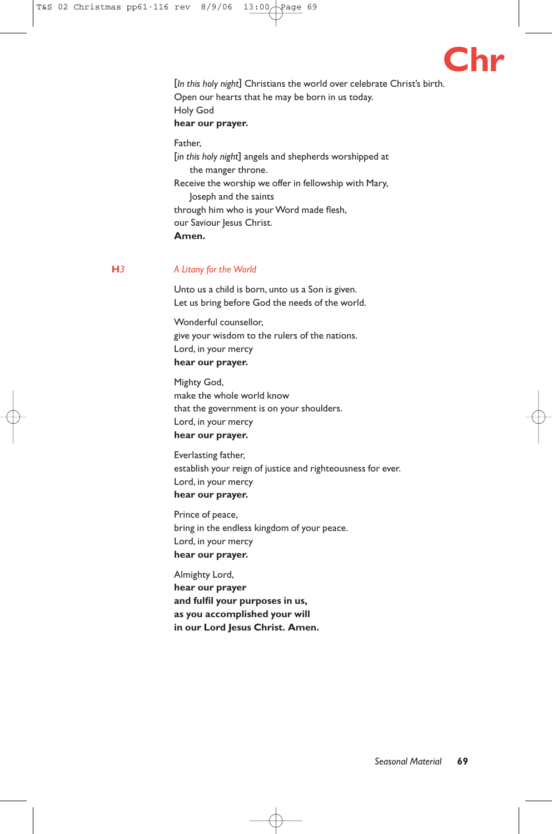

[*In this holy night*] Christians the world over celebrate Christ's birth. Open our hearts that he may be born in us today. Holy God

## **hear our prayer.**

Father, [*in this holy night*] angels and shepherds worshipped at the manger throne. Receive the worship we offer in fellowship with Mary, Joseph and the saints through him who is your Word made flesh,

our Saviour Jesus Christ.

**Amen.**

### **H***3 A Litany for the World*

Unto us a child is born, unto us a Son is given. Let us bring before God the needs of the world.

Wonderful counsellor, give your wisdom to the rulers of the nations. Lord, in your mercy **hear our prayer.**

Mighty God, make the whole world know that the government is on your shoulders. Lord, in your mercy **hear our prayer.**

Everlasting father, establish your reign of justice and righteousness for ever. Lord, in your mercy **hear our prayer.**

Prince of peace, bring in the endless kingdom of your peace. Lord, in your mercy **hear our prayer.**

Almighty Lord, **hear our prayer and fulfil your purposes in us, as you accomplished your will in our Lord Jesus Christ. Amen.**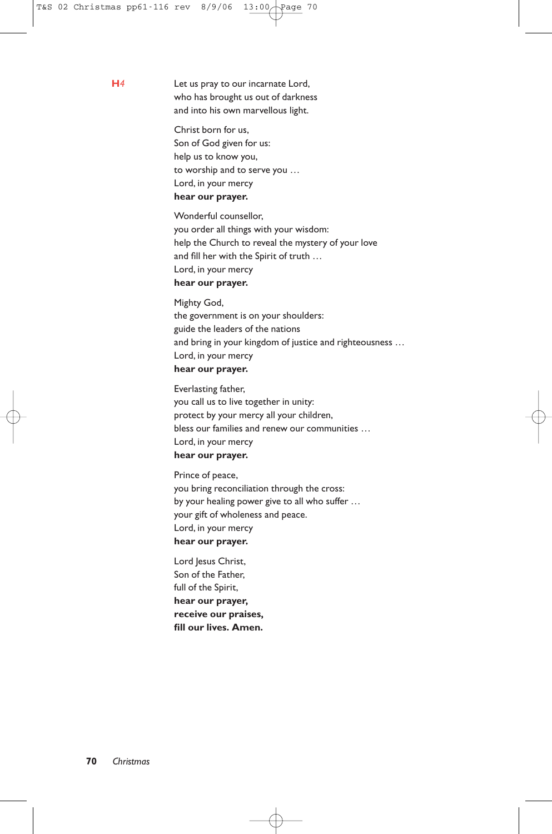**H***4* Let us pray to our incarnate Lord, who has brought us out of darkness and into his own marvellous light.

> Christ born for us, Son of God given for us: help us to know you, to worship and to serve you … Lord, in your mercy **hear our prayer.**

Wonderful counsellor, you order all things with your wisdom: help the Church to reveal the mystery of your love and fill her with the Spirit of truth … Lord, in your mercy **hear our prayer.**

Mighty God, the government is on your shoulders: guide the leaders of the nations and bring in your kingdom of justice and righteousness … Lord, in your mercy **hear our prayer.**

Everlasting father, you call us to live together in unity: protect by your mercy all your children, bless our families and renew our communities … Lord, in your mercy **hear our prayer.**

Prince of peace, you bring reconciliation through the cross: by your healing power give to all who suffer … your gift of wholeness and peace. Lord, in your mercy **hear our prayer.**

Lord Jesus Christ. Son of the Father, full of the Spirit, **hear our prayer, receive our praises, fill our lives. Amen.**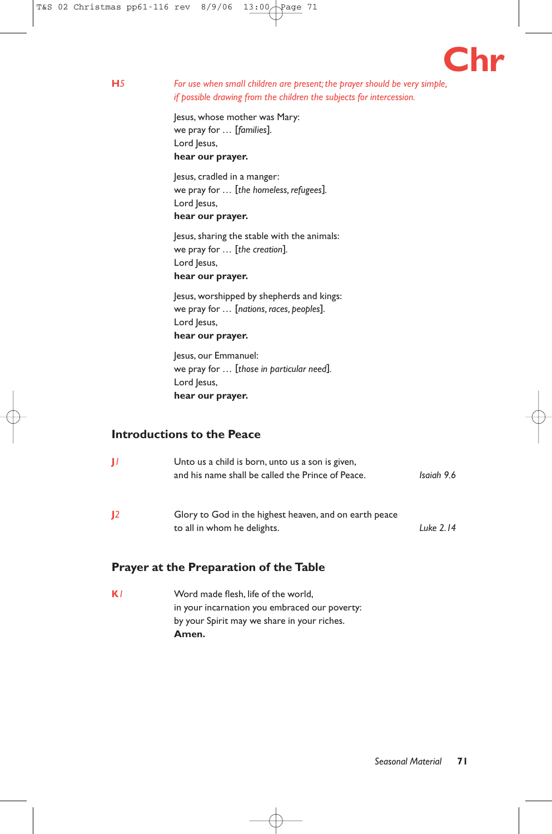

**H***5 For use when small children are present; the prayer should be very simple, if possible drawing from the children the subjects for intercession.*

> Jesus, whose mother was Mary: we pray for *…* [*families*]*.* Lord Jesus, **hear our prayer.**

Jesus, cradled in a manger: we pray for *…* [*the homeless, refugees*]*.* Lord Jesus, **hear our prayer.**

Jesus, sharing the stable with the animals: we pray for *…* [*the creation*]*.* Lord Jesus, **hear our prayer.**

Jesus, worshipped by shepherds and kings: we pray for *…* [*nations, races, peoples*]*.* Lord Jesus, **hear our prayer.**

Jesus, our Emmanuel: we pray for *…* [*those in particular need*]*.* Lord Jesus, **hear our prayer.**

## **Introductions to the Peace**

| Ħ  | Unto us a child is born, unto us a son is given,<br>and his name shall be called the Prince of Peace. | Isaiah 9.6       |
|----|-------------------------------------------------------------------------------------------------------|------------------|
| J2 | Glory to God in the highest heaven, and on earth peace<br>to all in whom he delights.                 | <u>Luke 2.14</u> |

## **Prayer at the Preparation of the Table**

| K I | Word made flesh, life of the world,           |
|-----|-----------------------------------------------|
|     | in your incarnation you embraced our poverty: |
|     | by your Spirit may we share in your riches.   |
|     | Amen.                                         |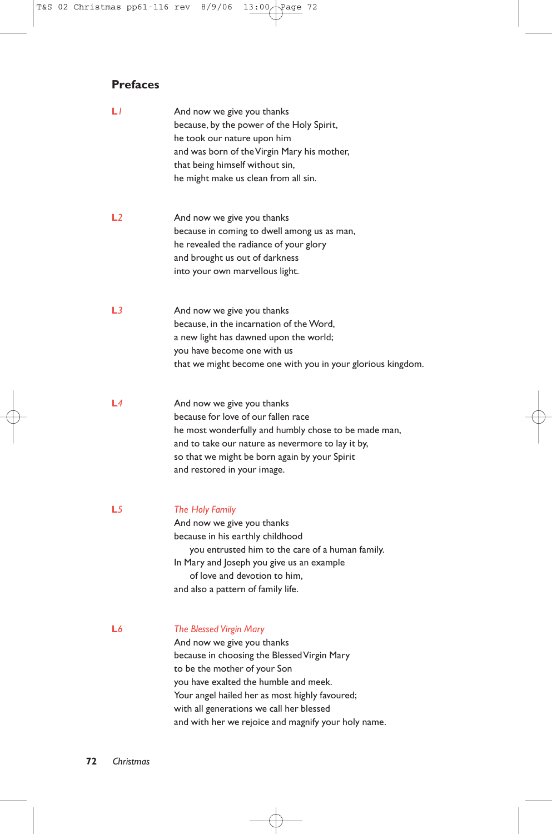## **Prefaces**

| LI | And now we give you thanks                  |
|----|---------------------------------------------|
|    | because, by the power of the Holy Spirit,   |
|    | he took our nature upon him                 |
|    | and was born of the Virgin Mary his mother, |
|    | that being himself without sin,             |
|    | he might make us clean from all sin.        |

- **L**2 And now we give you thanks because in coming to dwell among us as man, he revealed the radiance of your glory and brought us out of darkness into your own marvellous light.
- **L**<sup>3</sup> And now we give you thanks because, in the incarnation of the Word, a new light has dawned upon the world; you have become one with us that we might become one with you in your glorious kingdom.
- **L4** And now we give you thanks because for love of our fallen race he most wonderfully and humbly chose to be made man, and to take our nature as nevermore to lay it by, so that we might be born again by your Spirit and restored in your image.
- **L***5 The Holy Family*

And now we give you thanks because in his earthly childhood you entrusted him to the care of a human family. In Mary and Joseph you give us an example of love and devotion to him, and also a pattern of family life.

#### **L***6 The Blessed Virgin Mary*

And now we give you thanks because in choosing the Blessed Virgin Mary to be the mother of your Son you have exalted the humble and meek. Your angel hailed her as most highly favoured; with all generations we call her blessed and with her we rejoice and magnify your holy name.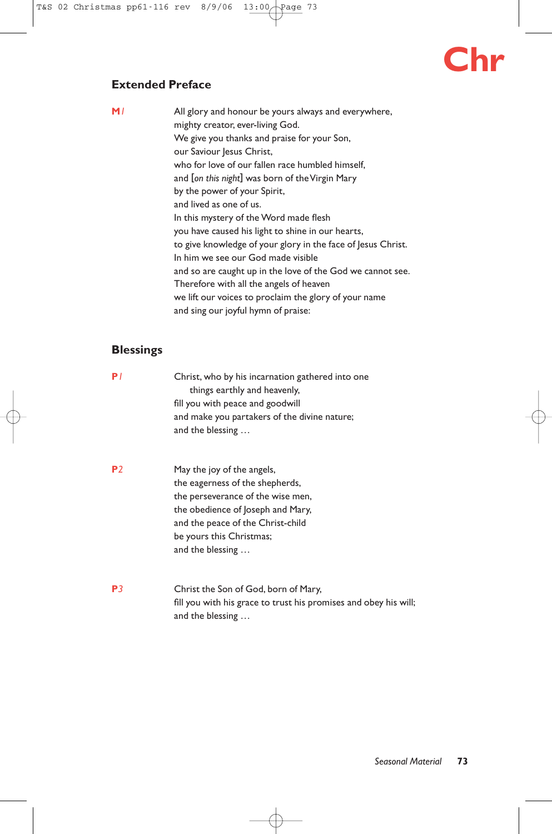## **Extended Preface**

| M/ | All glory and honour be yours always and everywhere,<br>mighty creator, ever-living God. |
|----|------------------------------------------------------------------------------------------|
|    |                                                                                          |
|    | We give you thanks and praise for your Son,                                              |
|    | our Saviour Jesus Christ,                                                                |
|    | who for love of our fallen race humbled himself,                                         |
|    | and [on this night] was born of the Virgin Mary                                          |
|    | by the power of your Spirit,                                                             |
|    | and lived as one of us.                                                                  |
|    | In this mystery of the Word made flesh                                                   |
|    | you have caused his light to shine in our hearts,                                        |
|    | to give knowledge of your glory in the face of Jesus Christ.                             |
|    | In him we see our God made visible                                                       |
|    | and so are caught up in the love of the God we cannot see.                               |
|    | Therefore with all the angels of heaven                                                  |
|    | we lift our voices to proclaim the glory of your name                                    |
|    | and sing our joyful hymn of praise:                                                      |
|    |                                                                                          |

## **Blessings**

| P/             | Christ, who by his incarnation gathered into one<br>things earthly and heavenly,<br>fill you with peace and goodwill<br>and make you partakers of the divine nature;<br>and the blessing                                     |
|----------------|------------------------------------------------------------------------------------------------------------------------------------------------------------------------------------------------------------------------------|
| P <sub>2</sub> | May the joy of the angels,<br>the eagerness of the shepherds,<br>the perseverance of the wise men,<br>the obedience of Joseph and Mary,<br>and the peace of the Christ-child<br>be yours this Christmas;<br>and the blessing |
| P <sub>3</sub> | Christ the Son of God, born of Mary,<br>fill you with his grace to trust his promises and obey his will;<br>and the blessing                                                                                                 |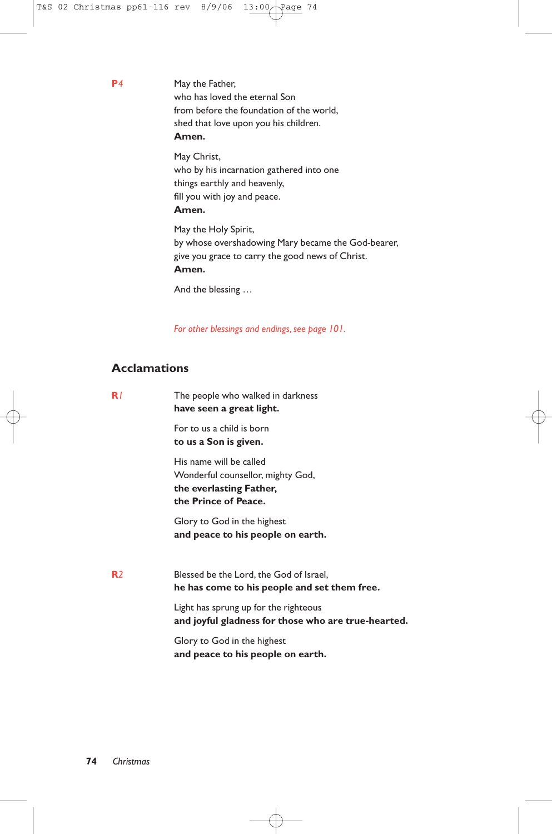**P***4* May the Father, who has loved the eternal Son from before the foundation of the world, shed that love upon you his children. **Amen.**

> May Christ, who by his incarnation gathered into one things earthly and heavenly, fill you with joy and peace. **Amen.**

May the Holy Spirit, by whose overshadowing Mary became the God-bearer, give you grace to carry the good news of Christ. **Amen.**

And the blessing …

*For other blessings and endings, see page 101.*

## **Acclamations**

**R***1* The people who walked in darkness **have seen a great light.**

> For to us a child is born **to us a Son is given.**

His name will be called Wonderful counsellor, mighty God, **the everlasting Father, the Prince of Peace.**

Glory to God in the highest **and peace to his people on earth.**

**R***2* Blessed be the Lord, the God of Israel, **he has come to his people and set them free.**

> Light has sprung up for the righteous **and joyful gladness for those who are true-hearted.**

Glory to God in the highest **and peace to his people on earth.**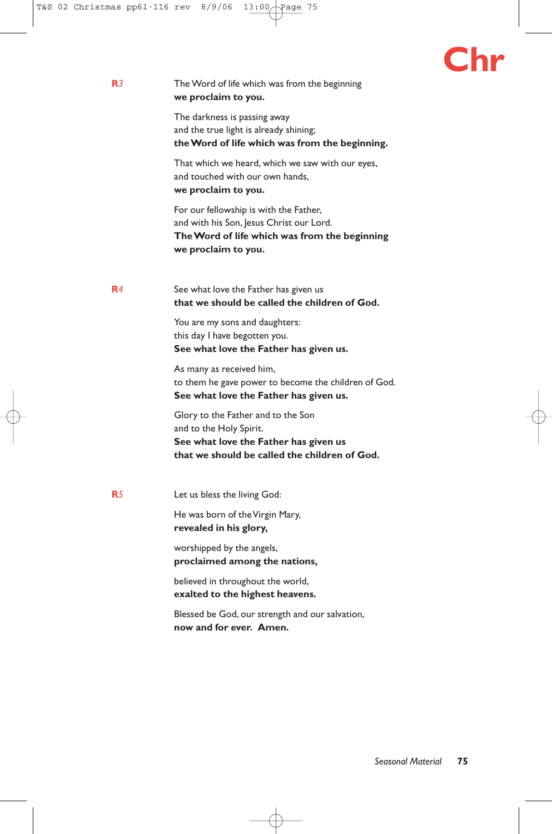### **R***3* The Word of life which was from the beginning **we proclaim to you.**

The darkness is passing away and the true light is already shining; **the Word of life which was from the beginning.**

That which we heard, which we saw with our eyes, and touched with our own hands, **we proclaim to you.**

For our fellowship is with the Father, and with his Son, Jesus Christ our Lord. **The Word of life which was from the beginning we proclaim to you.**

**R**<sup>4</sup> See what love the Father has given us **that we should be called the children of God.**

> You are my sons and daughters: this day I have begotten you. **See what love the Father has given us.**

As many as received him, to them he gave power to become the children of God. **See what love the Father has given us.**

Glory to the Father and to the Son and to the Holy Spirit. **See what love the Father has given us that we should be called the children of God.**

**R**<sup>5</sup> Let us bless the living God:

He was born of the Virgin Mary, **revealed in his glory,**

worshipped by the angels, **proclaimed among the nations,**

believed in throughout the world, **exalted to the highest heavens.**

Blessed be God, our strength and our salvation, **now and for ever. Amen.**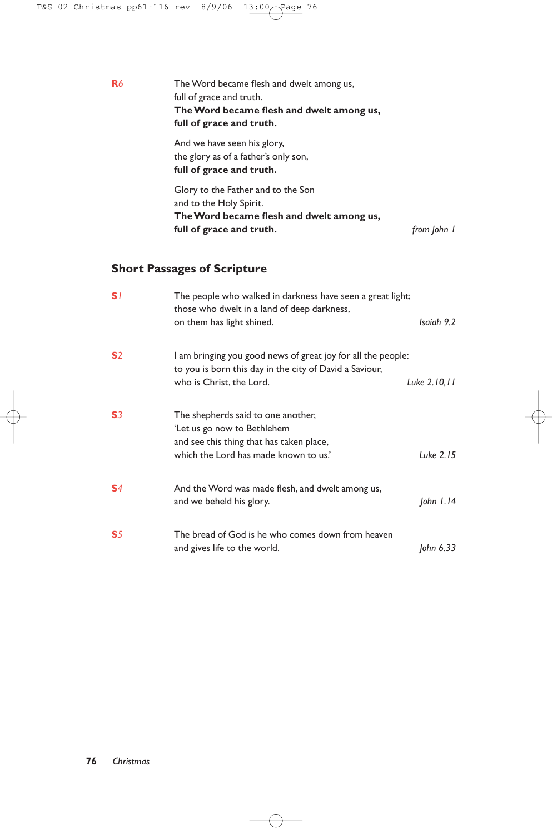| R6             | The Word became flesh and dwelt among us,<br>full of grace and truth.<br>The Word became flesh and dwelt among us,<br>full of grace and truth.      |              |
|----------------|-----------------------------------------------------------------------------------------------------------------------------------------------------|--------------|
|                | And we have seen his glory,<br>the glory as of a father's only son,<br>full of grace and truth.                                                     |              |
|                | Glory to the Father and to the Son<br>and to the Holy Spirit.<br>The Word became flesh and dwelt among us,<br>full of grace and truth.              | from John 1  |
|                | <b>Short Passages of Scripture</b>                                                                                                                  |              |
| s/             | The people who walked in darkness have seen a great light;<br>those who dwelt in a land of deep darkness,<br>on them has light shined.              | Isaiah 9.2   |
| S <sub>2</sub> | I am bringing you good news of great joy for all the people:<br>to you is born this day in the city of David a Saviour,<br>who is Christ, the Lord. | Luke 2.10,11 |
| S3             | The shepherds said to one another,<br>'Let us go now to Bethlehem<br>and see this thing that has taken place,                                       |              |

| S <sub>4</sub> | And the Word was made flesh, and dwelt among us,<br>and we beheld his glory.      | John $1.14$ |
|----------------|-----------------------------------------------------------------------------------|-------------|
| $\mathbf{S}5$  | The bread of God is he who comes down from heaven<br>and gives life to the world. | John 6.33   |

which the Lord has made known to us.' *Luke 2.15*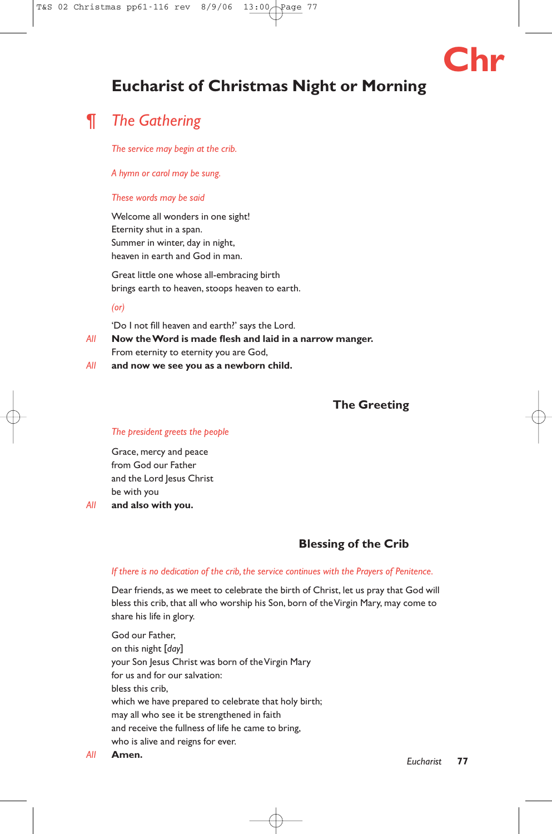## **Eucharist of Christmas Night or Morning**

## ¶ *The Gathering*

*The service may begin at the crib.*

*A hymn or carol may be sung.*

#### *These words may be said*

Welcome all wonders in one sight! Eternity shut in a span. Summer in winter, day in night, heaven in earth and God in man.

Great little one whose all-embracing birth brings earth to heaven, stoops heaven to earth.

#### *(or)*

'Do I not fill heaven and earth?' says the Lord.

- *All* **Now the Word is made flesh and laid in a narrow manger.** From eternity to eternity you are God,
- *All* **and now we see you as a newborn child.**

## **The Greeting**

**Chr**

#### *The president greets the people*

Grace, mercy and peace from God our Father and the Lord Jesus Christ be with you

*All* **and also with you.**

## **Blessing of the Crib**

#### *If there is no dedication of the crib, the service continues with the Prayers of Penitence.*

Dear friends, as we meet to celebrate the birth of Christ, let us pray that God will bless this crib, that all who worship his Son, born of the Virgin Mary, may come to share his life in glory.

God our Father, on this night [*day*] your Son Jesus Christ was born of the Virgin Mary for us and for our salvation: bless this crib, which we have prepared to celebrate that holy birth; may all who see it be strengthened in faith and receive the fullness of life he came to bring, who is alive and reigns for ever.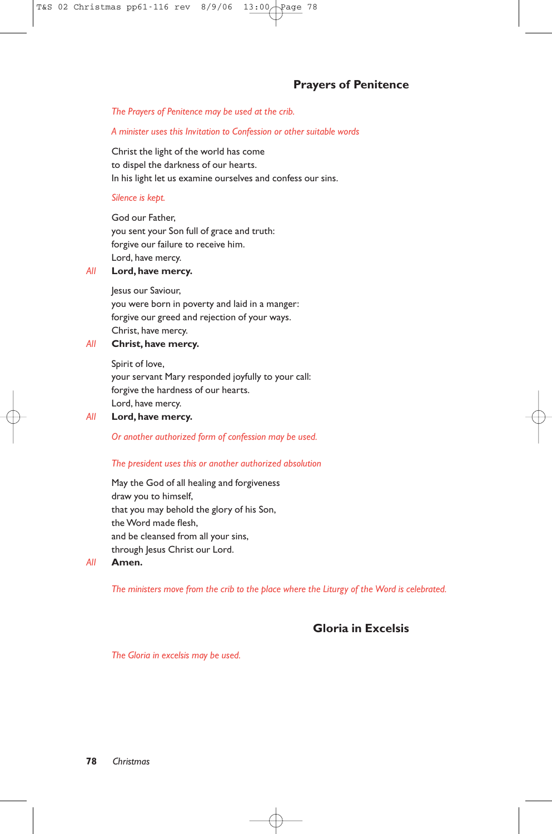## **Prayers of Penitence**

*The Prayers of Penitence may be used at the crib.*

#### *A minister uses this Invitation to Confession or other suitable words*

Christ the light of the world has come to dispel the darkness of our hearts. In his light let us examine ourselves and confess our sins.

#### *Silence is kept.*

God our Father, you sent your Son full of grace and truth: forgive our failure to receive him. Lord, have mercy.

#### *All* **Lord, have mercy.**

Jesus our Saviour, you were born in poverty and laid in a manger: forgive our greed and rejection of your ways. Christ, have mercy.

#### *All* **Christ, have mercy.**

Spirit of love,

your servant Mary responded joyfully to your call: forgive the hardness of our hearts. Lord, have mercy.

#### *All* **Lord, have mercy.**

*Or another authorized form of confession may be used.*

#### *The president uses this or another authorized absolution*

May the God of all healing and forgiveness draw you to himself, that you may behold the glory of his Son, the Word made flesh, and be cleansed from all your sins, through Jesus Christ our Lord.

*All* **Amen.**

*The ministers move from the crib to the place where the Liturgy of the Word is celebrated.*

## **Gloria in Excelsis**

*The Gloria in excelsis may be used.*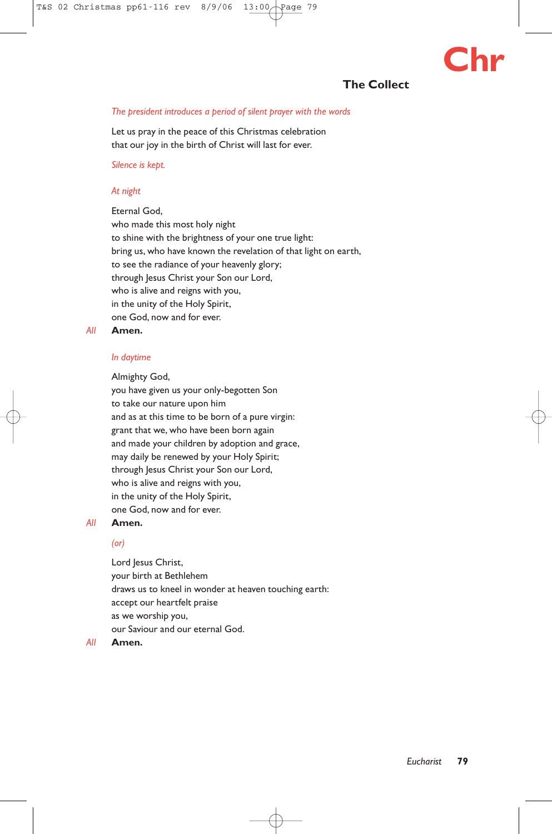## **The Collect**

#### *The president introduces a period of silent prayer with the words*

Let us pray in the peace of this Christmas celebration that our joy in the birth of Christ will last for ever.

#### *Silence is kept.*

#### *At night*

Eternal God, who made this most holy night to shine with the brightness of your one true light: bring us, who have known the revelation of that light on earth, to see the radiance of your heavenly glory; through Jesus Christ your Son our Lord, who is alive and reigns with you, in the unity of the Holy Spirit, one God, now and for ever.

#### *All* **Amen.**

#### *In daytime*

#### Almighty God,

you have given us your only-begotten Son to take our nature upon him and as at this time to be born of a pure virgin: grant that we, who have been born again and made your children by adoption and grace, may daily be renewed by your Holy Spirit; through Jesus Christ your Son our Lord, who is alive and reigns with you, in the unity of the Holy Spirit, one God, now and for ever.

#### *All* **Amen.**

#### *(or)*

Lord Jesus Christ, your birth at Bethlehem draws us to kneel in wonder at heaven touching earth: accept our heartfelt praise as we worship you, our Saviour and our eternal God.

#### *All* **Amen.**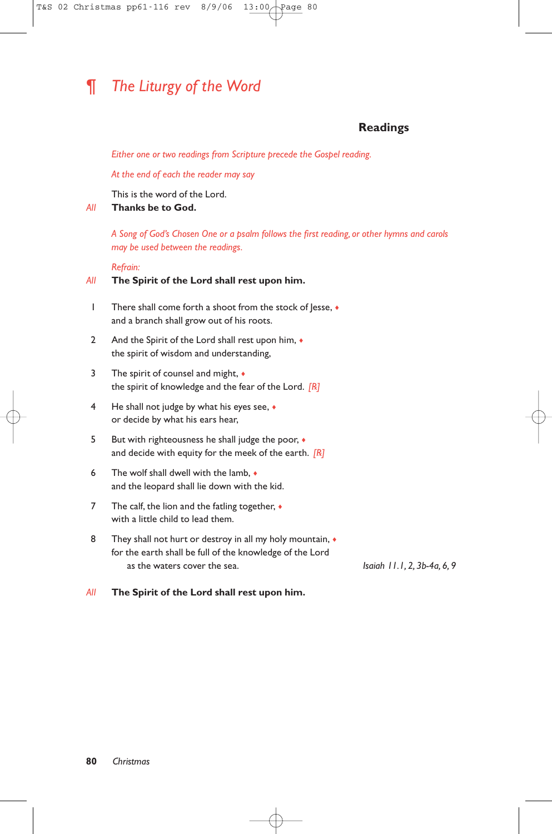## ¶ *The Liturgy of the Word*

## **Readings**

*Either one or two readings from Scripture precede the Gospel reading.*

*At the end of each the reader may say*

This is the word of the Lord.

#### *All* **Thanks be to God.**

*A Song of God's Chosen One or a psalm follows the first reading, or other hymns and carols may be used between the readings.*

#### *Refrain:*

#### *All* **The Spirit of the Lord shall rest upon him.**

- 1 There shall come forth a shoot from the stock of Jesse, ♦ and a branch shall grow out of his roots.
- 2 And the Spirit of the Lord shall rest upon him,  $\bullet$ the spirit of wisdom and understanding,
- 3 The spirit of counsel and might,  $\bullet$ the spirit of knowledge and the fear of the Lord. *[R]*
- 4 He shall not judge by what his eyes see,  $\ast$ or decide by what his ears hear,
- 5 But with righteousness he shall judge the poor, ♦ and decide with equity for the meek of the earth. *[R]*
- 6 The wolf shall dwell with the lamb, ♦ and the leopard shall lie down with the kid.
- 7 The calf, the lion and the fatling together,  $\bullet$ with a little child to lead them.
- 8 They shall not hurt or destroy in all my holy mountain,  $\bullet$ for the earth shall be full of the knowledge of the Lord as the waters cover the sea. *Isaiah 11.1, 2, 3b-4a, 6, 9*

*All* **The Spirit of the Lord shall rest upon him.**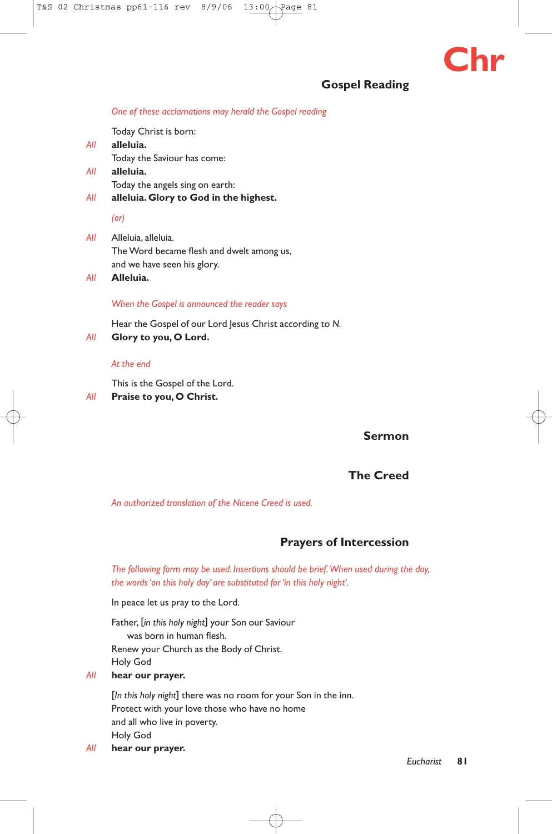## **Gospel Reading**

**Chr**

#### *One of these acclamations may herald the Gospel reading*

Today Christ is born:

*All* **alleluia.** Today the Saviour has come: *All* **alleluia.**

Today the angels sing on earth:

*All* **alleluia. Glory to God in the highest.**

*(or)*

- *All* Alleluia, alleluia. The Word became flesh and dwelt among us, and we have seen his glory.
- *All* **Alleluia.**

#### *When the Gospel is announced the reader says*

Hear the Gospel of our Lord Jesus Christ according to N.

*All* **Glory to you, O Lord.**

#### *At the end*

This is the Gospel of the Lord.

*All* **Praise to you, O Christ.**

#### **Sermon**

#### **The Creed**

*An authorized translation of the Nicene Creed is used.*

### **Prayers of Intercession**

*The following form may be used. Insertions should be brief.When used during the day, the words 'on this holy day' are substituted for 'in this holy night'.*

In peace let us pray to the Lord.

Father, [*in this holy night*] your Son our Saviour was born in human flesh. Renew your Church as the Body of Christ. Holy God

#### *All* **hear our prayer.**

[*In this holy night*] there was no room for your Son in the inn. Protect with your love those who have no home and all who live in poverty. Holy God

#### *All* **hear our prayer.**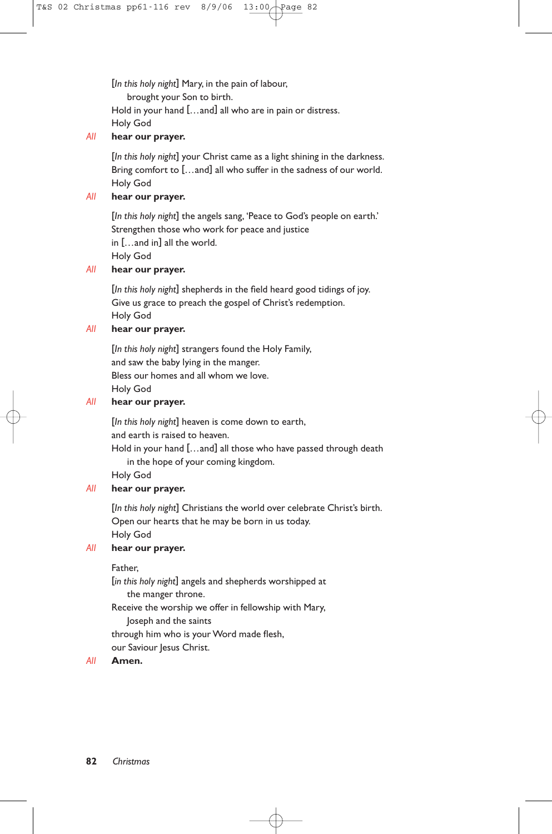[*In this holy night*] Mary, in the pain of labour,

brought your Son to birth.

Hold in your hand [*…*and] all who are in pain or distress. Holy God

### *All* **hear our prayer.**

[*In this holy night*] your Christ came as a light shining in the darkness. Bring comfort to [*…*and] all who suffer in the sadness of our world. Holy God

### *All* **hear our prayer.**

[*In this holy night*] the angels sang, 'Peace to God's people on earth.' Strengthen those who work for peace and justice in [*…*and in] all the world. Holy God

### *All* **hear our prayer.**

[*In this holy night*] shepherds in the field heard good tidings of joy. Give us grace to preach the gospel of Christ's redemption. Holy God

#### *All* **hear our prayer.**

[*In this holy night*] strangers found the Holy Family, and saw the baby lying in the manger. Bless our homes and all whom we love. Holy God

#### *All* **hear our prayer.**

[*In this holy night*] heaven is come down to earth, and earth is raised to heaven. Hold in your hand [*…*and] all those who have passed through death in the hope of your coming kingdom. Holy God

#### *All* **hear our prayer.**

[*In this holy night*] Christians the world over celebrate Christ's birth. Open our hearts that he may be born in us today. Holy God

#### *All* **hear our prayer.**

#### Father,

[*in this holy night*] angels and shepherds worshipped at the manger throne.

Receive the worship we offer in fellowship with Mary, Joseph and the saints

through him who is your Word made flesh,

our Saviour Jesus Christ.

#### *All* **Amen.**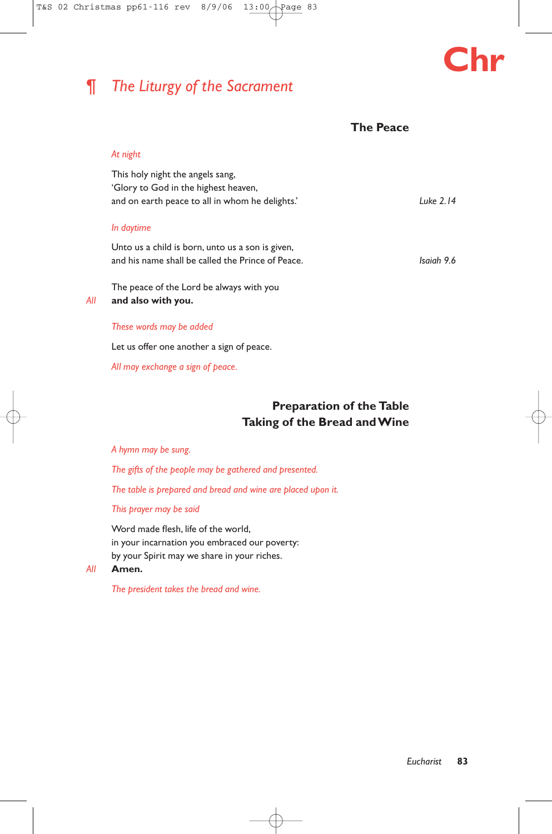## ¶ *The Liturgy of the Sacrament*



## **The Peace**

#### *At night*

This holy night the angels sang, 'Glory to God in the highest heaven, and on earth peace to all in whom he delights.' *Luke 2.14*

#### *In daytime*

Unto us a child is born, unto us a son is given, and his name shall be called the Prince of Peace. *Isaiah 9.6* 

The peace of the Lord be always with you *All* **and also with you.**

#### *These words may be added*

Let us offer one another a sign of peace.

*All may exchange a sign of peace.*

## **Preparation of the Table Taking of the Bread and Wine**

*A hymn may be sung. The gifts of the people may be gathered and presented. The table is prepared and bread and wine are placed upon it.*

*This prayer may be said*

Word made flesh, life of the world, in your incarnation you embraced our poverty: by your Spirit may we share in your riches.

#### *All* **Amen.**

*The president takes the bread and wine.*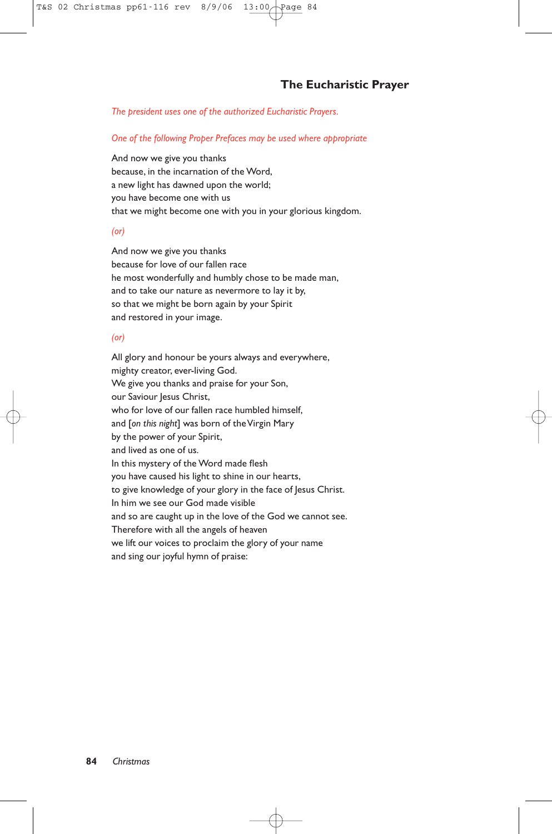#### *The president uses one of the authorized Eucharistic Prayers.*

#### *One of the following Proper Prefaces may be used where appropriate*

And now we give you thanks because, in the incarnation of the Word, a new light has dawned upon the world; you have become one with us that we might become one with you in your glorious kingdom.

#### *(or)*

And now we give you thanks because for love of our fallen race he most wonderfully and humbly chose to be made man, and to take our nature as nevermore to lay it by, so that we might be born again by your Spirit and restored in your image.

#### *(or)*

All glory and honour be yours always and everywhere, mighty creator, ever-living God. We give you thanks and praise for your Son, our Saviour Jesus Christ, who for love of our fallen race humbled himself, and [*on this night*] was born of the Virgin Mary by the power of your Spirit, and lived as one of us. In this mystery of the Word made flesh you have caused his light to shine in our hearts, to give knowledge of your glory in the face of Jesus Christ. In him we see our God made visible and so are caught up in the love of the God we cannot see. Therefore with all the angels of heaven we lift our voices to proclaim the glory of your name and sing our joyful hymn of praise: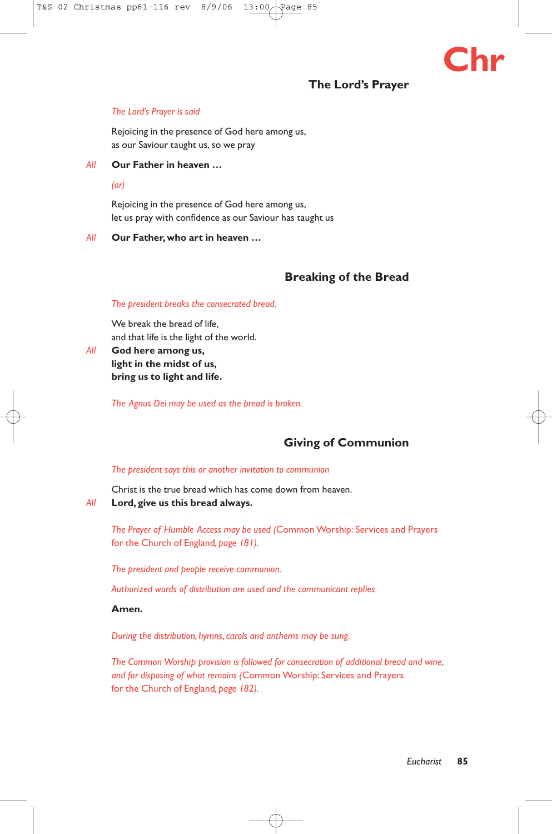## **The Lord's Prayer**

**Chr**

#### *The Lord's Prayer is said*

Rejoicing in the presence of God here among us, as our Saviour taught us, so we pray

#### *All* **Our Father in heaven …**

#### *(or)*

Rejoicing in the presence of God here among us, let us pray with confidence as our Saviour has taught us

#### *All* **Our Father, who art in heaven …**

## **Breaking of the Bread**

#### *The president breaks the consecrated bread.*

We break the bread of life, and that life is the light of the world.

*All* **God here among us, light in the midst of us, bring us to light and life.**

*The Agnus Dei may be used as the bread is broken.*

## **Giving of Communion**

#### *The president says this or another invitation to communion*

Christ is the true bread which has come down from heaven. *All* **Lord, give us this bread always.**

*The Prayer of Humble Access may be used (*Common Worship: Services and Prayers for the Church of England*, page 181).*

*The president and people receive communion.*

*Authorized words of distribution are used and the communicant replies*

#### **Amen.**

*During the distribution, hymns, carols and anthems may be sung.*

*The Common Worship provision is followed for consecration of additional bread and wine, and for disposing of what remains (*Common Worship: Services and Prayers for the Church of England*, page 182).*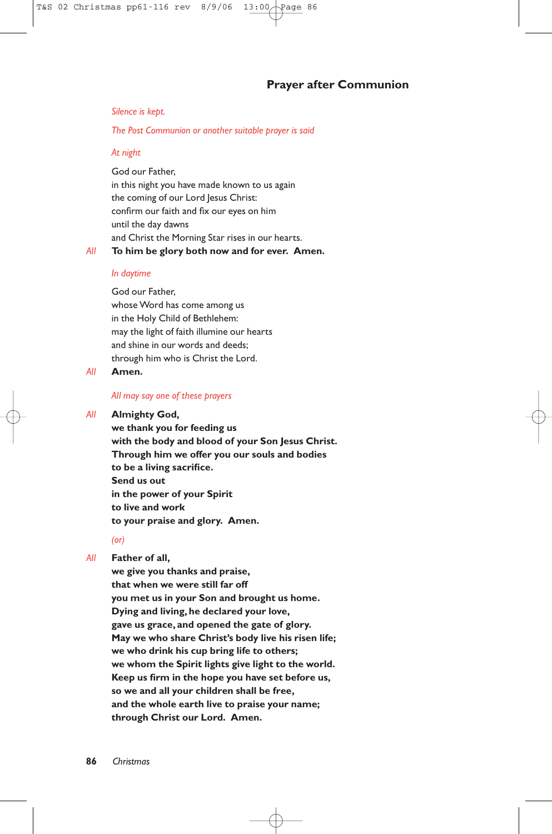## **Prayer after Communion**

#### *Silence is kept.*

*The Post Communion or another suitable prayer is said*

#### *At night*

God our Father, in this night you have made known to us again the coming of our Lord Jesus Christ: confirm our faith and fix our eyes on him until the day dawns and Christ the Morning Star rises in our hearts.

#### *All* **To him be glory both now and for ever. Amen.**

#### *In daytime*

God our Father,

whose Word has come among us in the Holy Child of Bethlehem: may the light of faith illumine our hearts and shine in our words and deeds; through him who is Christ the Lord.

#### *All* **Amen.**

#### *All may say one of these prayers*

#### *All* **Almighty God,**

**we thank you for feeding us with the body and blood of your Son Jesus Christ. Through him we offer you our souls and bodies to be a living sacrifice. Send us out in the power of your Spirit to live and work to your praise and glory. Amen.**

#### *(or)*

#### *All* **Father of all,**

**we give you thanks and praise, that when we were still far off you met us in your Son and brought us home. Dying and living, he declared your love, gave us grace, and opened the gate of glory. May we who share Christ's body live his risen life; we who drink his cup bring life to others; we whom the Spirit lights give light to the world. Keep us firm in the hope you have set before us, so we and all your children shall be free, and the whole earth live to praise your name; through Christ our Lord. Amen.**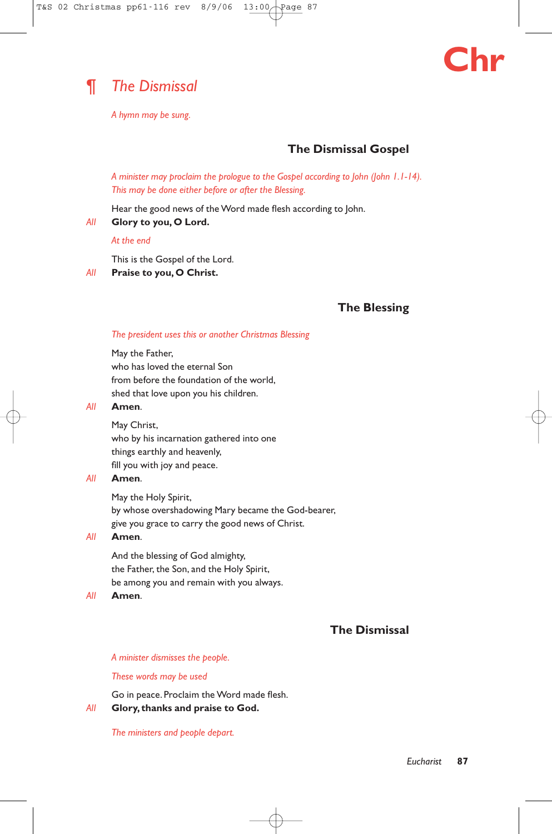

*A hymn may be sung.*

## **The Dismissal Gospel**

**Chr**

*A minister may proclaim the prologue to the Gospel according to John (John 1.1-14). This may be done either before or after the Blessing.*

Hear the good news of the Word made flesh according to John.

#### *All* **Glory to you, O Lord.**

*At the end*

This is the Gospel of the Lord.

#### *All* **Praise to you, O Christ.**

## **The Blessing**

#### *The president uses this or another Christmas Blessing*

May the Father, who has loved the eternal Son from before the foundation of the world, shed that love upon you his children.

#### *All* **Amen**.

May Christ, who by his incarnation gathered into one things earthly and heavenly, fill you with joy and peace.

#### *All* **Amen**.

May the Holy Spirit, by whose overshadowing Mary became the God-bearer, give you grace to carry the good news of Christ.

#### *All* **Amen**.

And the blessing of God almighty, the Father, the Son, and the Holy Spirit, be among you and remain with you always.

*All* **Amen**.

## **The Dismissal**

#### *A minister dismisses the people.*

*These words may be used*

Go in peace. Proclaim the Word made flesh.

*All* **Glory, thanks and praise to God.**

*The ministers and people depart.*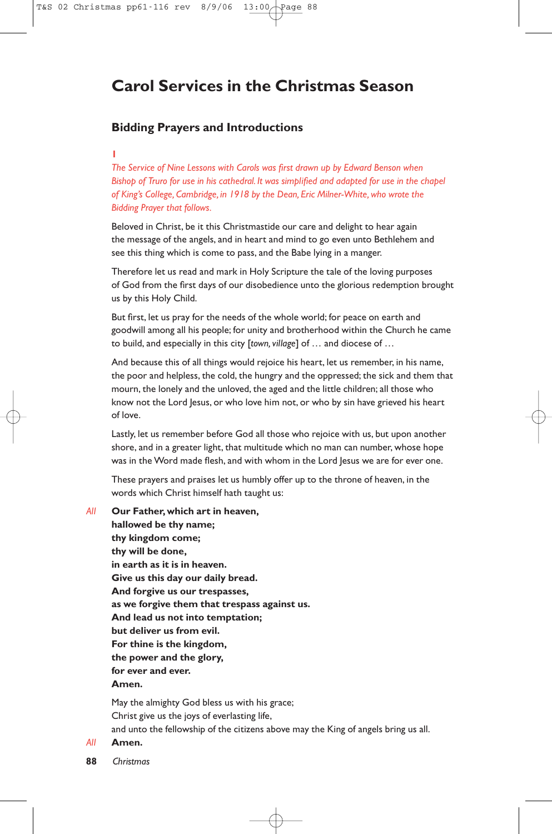## **Carol Services in the Christmas Season**

## **Bidding Prayers and Introductions**

#### **1**

*The Service of Nine Lessons with Carols was first drawn up by Edward Benson when Bishop of Truro for use in his cathedral. It was simplified and adapted for use in the chapel of King's College, Cambridge, in 1918 by the Dean, Eric Milner-White, who wrote the Bidding Prayer that follows.*

Beloved in Christ, be it this Christmastide our care and delight to hear again the message of the angels, and in heart and mind to go even unto Bethlehem and see this thing which is come to pass, and the Babe lying in a manger.

Therefore let us read and mark in Holy Scripture the tale of the loving purposes of God from the first days of our disobedience unto the glorious redemption brought us by this Holy Child.

But first, let us pray for the needs of the whole world; for peace on earth and goodwill among all his people; for unity and brotherhood within the Church he came to build, and especially in this city [*town, village*] of … and diocese of …

And because this of all things would rejoice his heart, let us remember, in his name, the poor and helpless, the cold, the hungry and the oppressed; the sick and them that mourn, the lonely and the unloved, the aged and the little children; all those who know not the Lord Jesus, or who love him not, or who by sin have grieved his heart of love.

Lastly, let us remember before God all those who rejoice with us, but upon another shore, and in a greater light, that multitude which no man can number, whose hope was in the Word made flesh, and with whom in the Lord Jesus we are for ever one.

These prayers and praises let us humbly offer up to the throne of heaven, in the words which Christ himself hath taught us:

*All* **Our Father, which art in heaven, hallowed be thy name; thy kingdom come; thy will be done, in earth as it is in heaven. Give us this day our daily bread. And forgive us our trespasses, as we forgive them that trespass against us. And lead us not into temptation; but deliver us from evil. For thine is the kingdom, the power and the glory, for ever and ever. Amen.**

> May the almighty God bless us with his grace; Christ give us the joys of everlasting life, and unto the fellowship of the citizens above may the King of angels bring us all.

*All* **Amen.**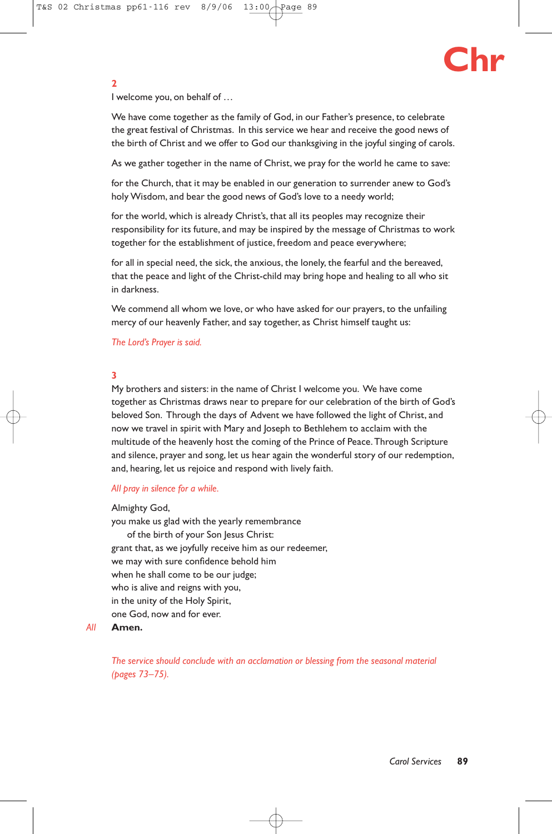**2**

I welcome you, on behalf of …

We have come together as the family of God, in our Father's presence, to celebrate the great festival of Christmas. In this service we hear and receive the good news of the birth of Christ and we offer to God our thanksgiving in the joyful singing of carols.

As we gather together in the name of Christ, we pray for the world he came to save:

for the Church, that it may be enabled in our generation to surrender anew to God's holy Wisdom, and bear the good news of God's love to a needy world;

for the world, which is already Christ's, that all its peoples may recognize their responsibility for its future, and may be inspired by the message of Christmas to work together for the establishment of justice, freedom and peace everywhere;

for all in special need, the sick, the anxious, the lonely, the fearful and the bereaved, that the peace and light of the Christ-child may bring hope and healing to all who sit in darkness.

We commend all whom we love, or who have asked for our prayers, to the unfailing mercy of our heavenly Father, and say together, as Christ himself taught us:

#### *The Lord's Prayer is said.*

#### **3**

My brothers and sisters: in the name of Christ I welcome you. We have come together as Christmas draws near to prepare for our celebration of the birth of God's beloved Son. Through the days of Advent we have followed the light of Christ, and now we travel in spirit with Mary and Joseph to Bethlehem to acclaim with the multitude of the heavenly host the coming of the Prince of Peace.Through Scripture and silence, prayer and song, let us hear again the wonderful story of our redemption, and, hearing, let us rejoice and respond with lively faith.

#### *All pray in silence for a while.*

#### Almighty God,

you make us glad with the yearly remembrance of the birth of your Son Jesus Christ: grant that, as we joyfully receive him as our redeemer, we may with sure confidence behold him when he shall come to be our judge; who is alive and reigns with you, in the unity of the Holy Spirit, one God, now and for ever.

#### *All* **Amen.**

*The service should conclude with an acclamation or blessing from the seasonal material (pages 73–75).*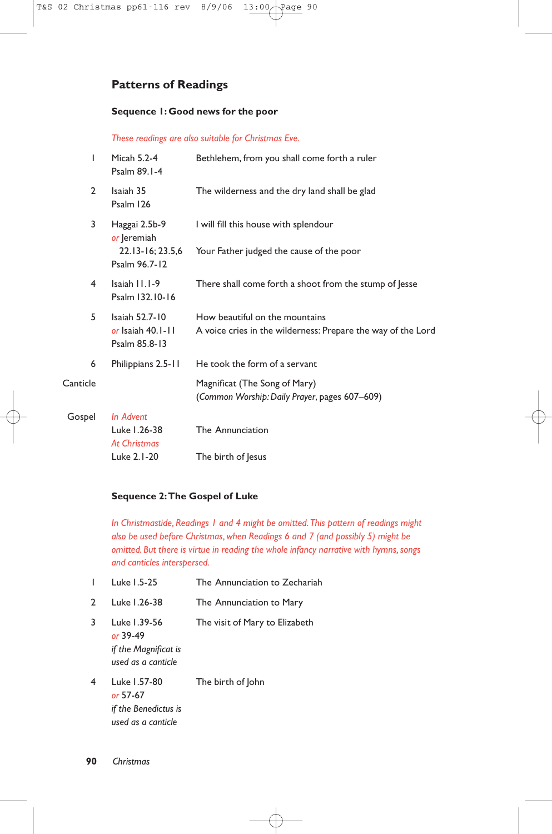## **Patterns of Readings**

#### **Sequence 1: Good news for the poor**

*These readings are also suitable for Christmas Eve.*

| I              | Micah 5.2-4<br>Psalm 89.1-4                          | Bethlehem, from you shall come forth a ruler                                                   |
|----------------|------------------------------------------------------|------------------------------------------------------------------------------------------------|
| $\overline{2}$ | Isaiah 35<br>Psalm 126                               | The wilderness and the dry land shall be glad                                                  |
| 3              | Haggai 2.5b-9<br>or leremiah<br>22.13-16; 23.5,6     | I will fill this house with splendour                                                          |
|                | Psalm 96.7-12                                        | Your Father judged the cause of the poor                                                       |
| 4              | $Isaiah$ $II.I-9$<br>Psalm 132.10-16                 | There shall come forth a shoot from the stump of Jesse                                         |
| 5              | Isaiah 52.7-10<br>or Isaiah 40.1-11<br>Psalm 85.8-13 | How beautiful on the mountains<br>A voice cries in the wilderness: Prepare the way of the Lord |
| 6              | Philippians 2.5-11                                   | He took the form of a servant                                                                  |
| Canticle       |                                                      | Magnificat (The Song of Mary)<br>(Common Worship: Daily Prayer, pages 607–609)                 |
| Gospel         | In Advent                                            |                                                                                                |
|                | Luke 1.26-38<br><b>At Christmas</b>                  | The Annunciation                                                                               |
|                | Luke 2.1-20                                          | The birth of Jesus                                                                             |

#### **Sequence 2:The Gospel of Luke**

*In Christmastide, Readings 1 and 4 might be omitted.This pattern of readings might also be used before Christmas, when Readings 6 and 7 (and possibly 5) might be omitted. But there is virtue in reading the whole infancy narrative with hymns, songs and canticles interspersed.*

|   | Luke 1.5-25                                                            | The Annunciation to Zechariah  |
|---|------------------------------------------------------------------------|--------------------------------|
| 2 | Luke 1.26-38                                                           | The Annunciation to Mary       |
| 3 | Luke 1.39-56<br>or 39-49<br>if the Magnificat is<br>used as a canticle | The visit of Mary to Elizabeth |
| 4 | Luke 1.57-80<br>or 57-67<br>if the Benedictus is                       | The birth of John              |

*used as a canticle*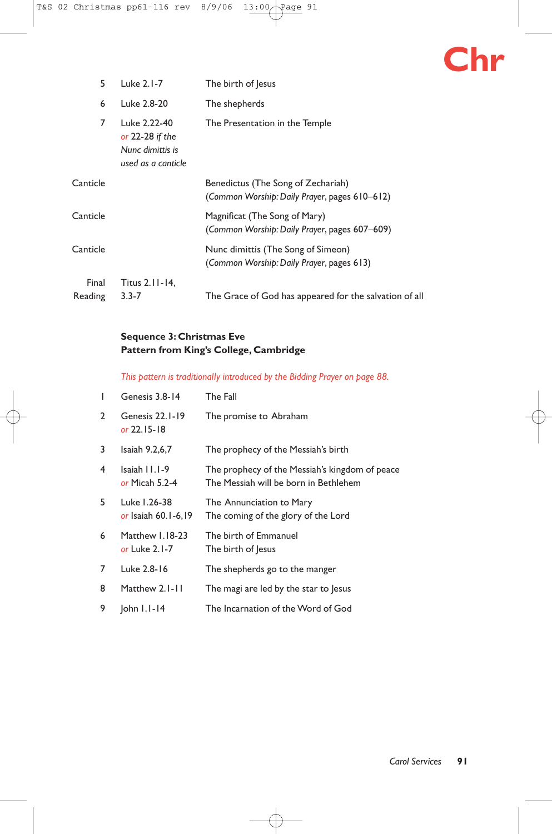| 5                | Luke 2.1-7                                                                | The birth of Jesus                                                                  |
|------------------|---------------------------------------------------------------------------|-------------------------------------------------------------------------------------|
| 6                | Luke 2.8-20                                                               | The shepherds                                                                       |
| 7                | Luke 2.22-40<br>or 22-28 if the<br>Nunc dimittis is<br>used as a canticle | The Presentation in the Temple                                                      |
| Canticle         |                                                                           | Benedictus (The Song of Zechariah)<br>(Common Worship: Daily Prayer, pages 610-612) |
| Canticle         |                                                                           | Magnificat (The Song of Mary)<br>(Common Worship: Daily Prayer, pages 607-609)      |
| Canticle         |                                                                           | Nunc dimittis (The Song of Simeon)<br>(Common Worship: Daily Prayer, pages 613)     |
| Final<br>Reading | Titus 2.11-14,<br>$3.3 - 7$                                               | The Grace of God has appeared for the salvation of all                              |

## **Sequence 3: Christmas Eve Pattern from King's College, Cambridge**

*This pattern is traditionally introduced by the Bidding Prayer on page 88.*

| ı              | Genesis 3.8-14                      | The Fall                                                                                |
|----------------|-------------------------------------|-----------------------------------------------------------------------------------------|
| $\overline{2}$ | Genesis 22.1-19<br>or 22.15-18      | The promise to Abraham                                                                  |
| 3              | Isaiah 9.2,6,7                      | The prophecy of the Messiah's birth                                                     |
| 4              | $Isaiah$ $II.I-9$<br>or Micah 5.2-4 | The prophecy of the Messiah's kingdom of peace<br>The Messiah will be born in Bethlehem |
| 5              | Luke 1.26-38<br>or Isaiah 60.1-6,19 | The Annunciation to Mary<br>The coming of the glory of the Lord                         |
| 6              | Matthew LI8-23<br>or Luke 2.1-7     | The birth of Emmanuel<br>The birth of Jesus                                             |
| 7              | Luke 2.8-16                         | The shepherds go to the manger                                                          |
| 8              | Matthew 2.1-11                      | The magi are led by the star to lesus                                                   |
| 9              | $ ohn L.1-14$                       | The Incarnation of the Word of God                                                      |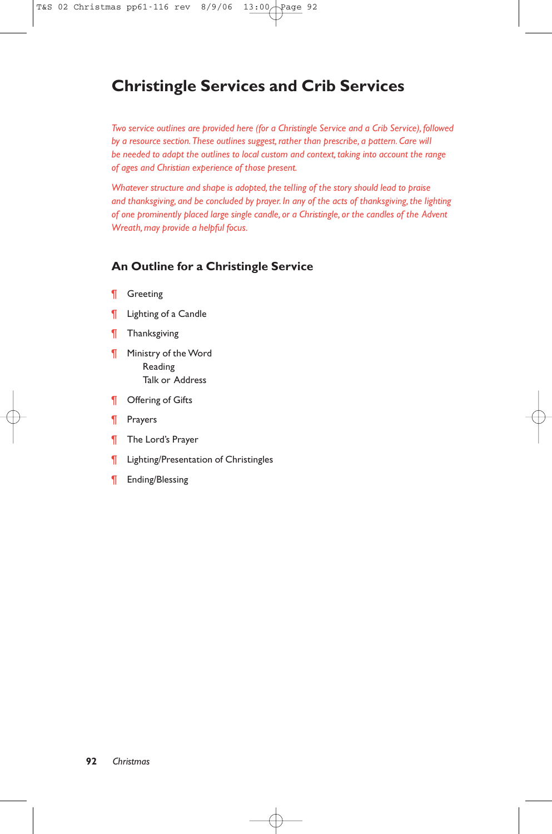## **Christingle Services and Crib Services**

*Two service outlines are provided here (for a Christingle Service and a Crib Service), followed by a resource section.These outlines suggest, rather than prescribe, a pattern. Care will be needed to adapt the outlines to local custom and context, taking into account the range of ages and Christian experience of those present.*

*Whatever structure and shape is adopted, the telling of the story should lead to praise and thanksgiving, and be concluded by prayer. In any of the acts of thanksgiving, the lighting of one prominently placed large single candle, or a Christingle, or the candles of the Advent Wreath, may provide a helpful focus.*

## **An Outline for a Christingle Service**

- ¶ Greeting
- ¶ Lighting of a Candle
- ¶ Thanksgiving
- ¶ Ministry of the Word Reading Talk or Address
- ¶ Offering of Gifts
- ¶ Prayers
- ¶ The Lord's Prayer
- ¶ Lighting/Presentation of Christingles
- ¶ Ending/Blessing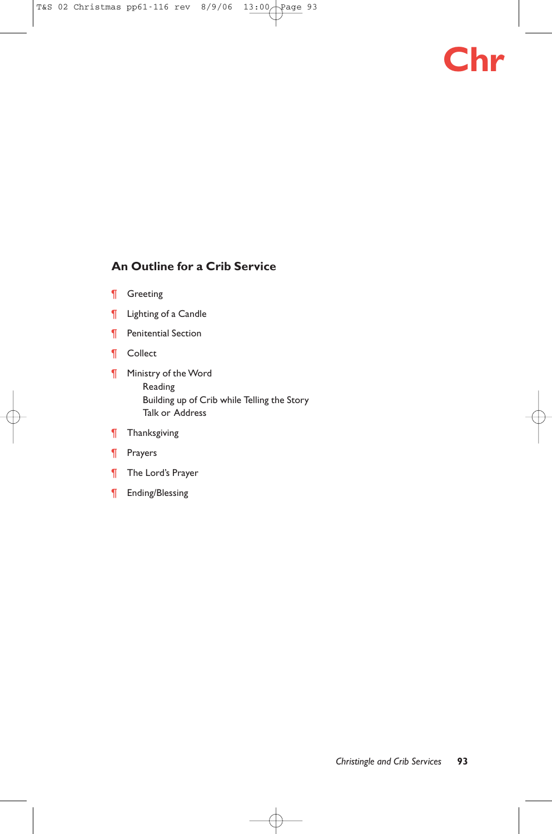## **An Outline for a Crib Service**

- ¶ Greeting
- **T** Lighting of a Candle
- ¶ Penitential Section
- ¶ Collect
- ¶ Ministry of the Word Reading Building up of Crib while Telling the Story Talk or Address
- ¶ Thanksgiving
- ¶ Prayers
- ¶ The Lord's Prayer
- ¶ Ending/Blessing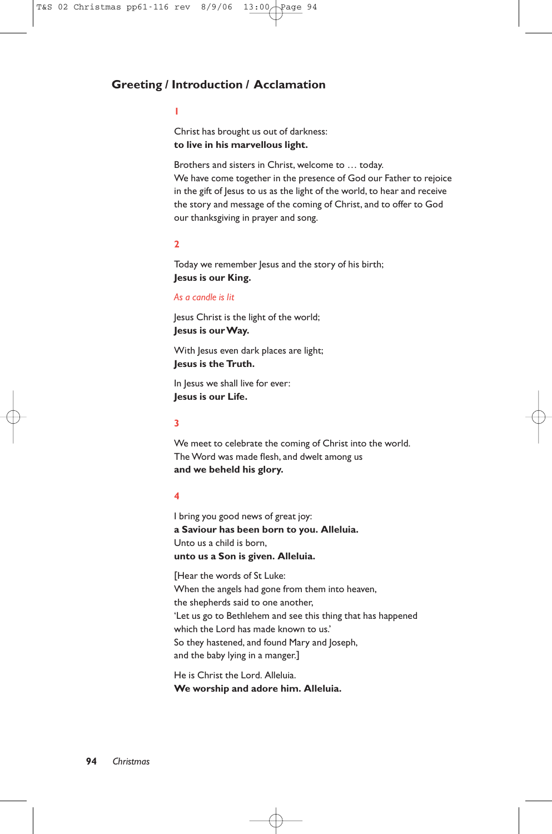## **Greeting / Introduction / Acclamation**

**1**

Christ has brought us out of darkness: **to live in his marvellous light.**

Brothers and sisters in Christ, welcome to … today. We have come together in the presence of God our Father to rejoice in the gift of Jesus to us as the light of the world, to hear and receive the story and message of the coming of Christ, and to offer to God our thanksgiving in prayer and song.

#### **2**

Today we remember Jesus and the story of his birth; **Jesus is our King.**

#### *As a candle is lit*

Jesus Christ is the light of the world; **Jesus is our Way.**

With Jesus even dark places are light; **Jesus is the Truth.**

In Jesus we shall live for ever: **Jesus is our Life.**

#### **3**

We meet to celebrate the coming of Christ into the world. The Word was made flesh, and dwelt among us **and we beheld his glory.**

#### **4**

I bring you good news of great joy: **a Saviour has been born to you. Alleluia.** Unto us a child is born, **unto us a Son is given. Alleluia.**

[Hear the words of St Luke: When the angels had gone from them into heaven, the shepherds said to one another, 'Let us go to Bethlehem and see this thing that has happened which the Lord has made known to us.' So they hastened, and found Mary and Joseph, and the baby lying in a manger.]

He is Christ the Lord. Alleluia. **We worship and adore him. Alleluia.**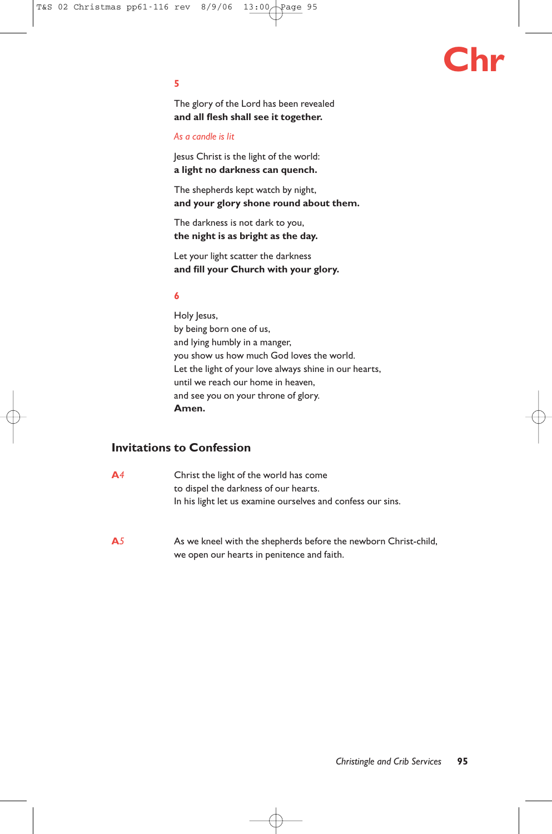**5**

The glory of the Lord has been revealed **and all flesh shall see it together.**

#### *As a candle is lit*

Jesus Christ is the light of the world: **a light no darkness can quench.**

The shepherds kept watch by night, **and your glory shone round about them.**

The darkness is not dark to you, **the night is as bright as the day.**

Let your light scatter the darkness **and fill your Church with your glory.**

## **6**

Holy Jesus, by being born one of us, and lying humbly in a manger, you show us how much God loves the world. Let the light of your love always shine in our hearts, until we reach our home in heaven, and see you on your throne of glory. **Amen.**

## **Invitations to Confession**

**A***4* Christ the light of the world has come to dispel the darkness of our hearts. In his light let us examine ourselves and confess our sins.

**A***5* As we kneel with the shepherds before the newborn Christ-child, we open our hearts in penitence and faith.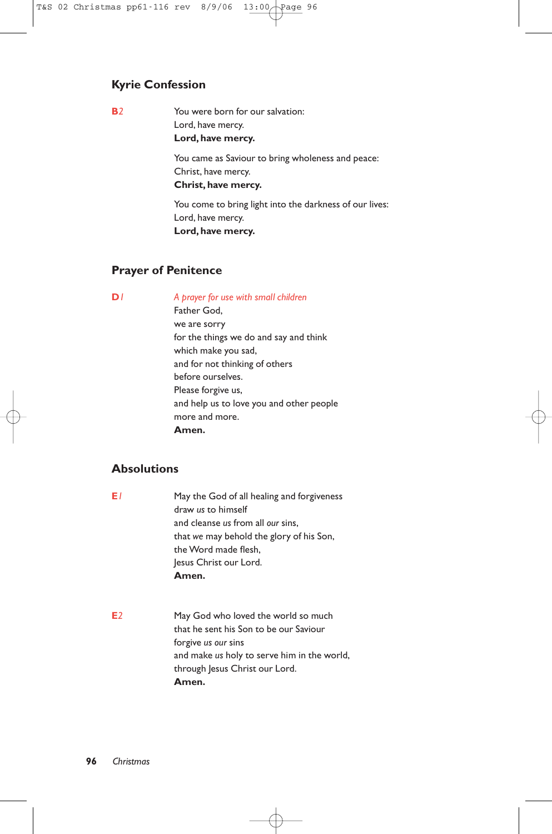## **Kyrie Confession**

**B***2* You were born for our salvation: Lord, have mercy. **Lord, have mercy.**

> You came as Saviour to bring wholeness and peace: Christ, have mercy. **Christ, have mercy.**

You come to bring light into the darkness of our lives: Lord, have mercy. **Lord, have mercy.**

## **Prayer of Penitence**

**D***1 A prayer for use with small children*

Father God, we are sorry for the things we do and say and think which make you sad, and for not thinking of others before ourselves. Please forgive us, and help us to love you and other people more and more. **Amen.**

## **Absolutions**

- **E***1* May the God of all healing and forgiveness draw *us* to himself and cleanse *us* from all *our* sins, that *we* may behold the glory of his Son, the Word made flesh, Jesus Christ our Lord. **Amen.**
- **E***2* May God who loved the world so much that he sent his Son to be our Saviour forgive *us our* sins and make *us* holy to serve him in the world, through Jesus Christ our Lord. **Amen.**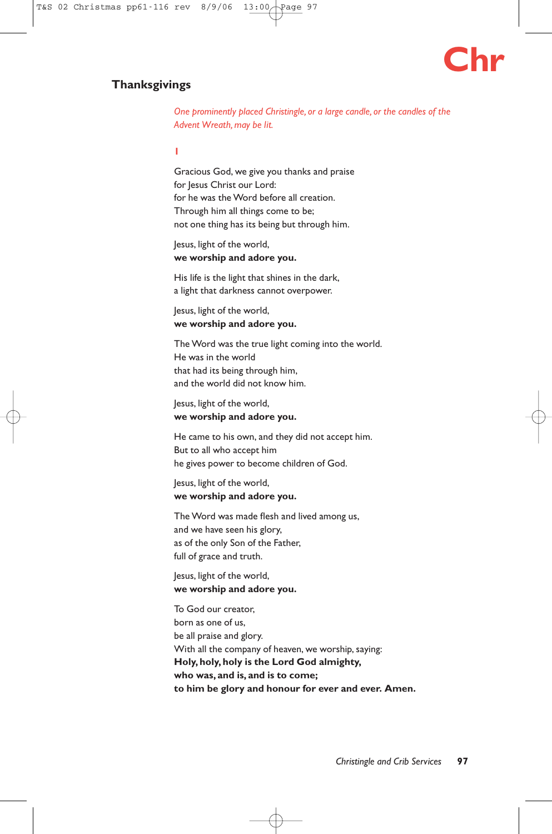## **Thanksgivings**

*One prominently placed Christingle, or a large candle, or the candles of the Advent Wreath, may be lit.*

#### **1**

Gracious God, we give you thanks and praise for Jesus Christ our Lord: for he was the Word before all creation. Through him all things come to be; not one thing has its being but through him.

Jesus, light of the world, **we worship and adore you.**

His life is the light that shines in the dark, a light that darkness cannot overpower.

Jesus, light of the world, **we worship and adore you.**

The Word was the true light coming into the world. He was in the world that had its being through him, and the world did not know him.

Jesus, light of the world, **we worship and adore you.**

He came to his own, and they did not accept him. But to all who accept him he gives power to become children of God.

Jesus, light of the world, **we worship and adore you.**

The Word was made flesh and lived among us, and we have seen his glory, as of the only Son of the Father, full of grace and truth.

Jesus, light of the world, **we worship and adore you.**

To God our creator, born as one of us, be all praise and glory. With all the company of heaven, we worship, saying: **Holy, holy, holy is the Lord God almighty, who was, and is, and is to come; to him be glory and honour for ever and ever. Amen.**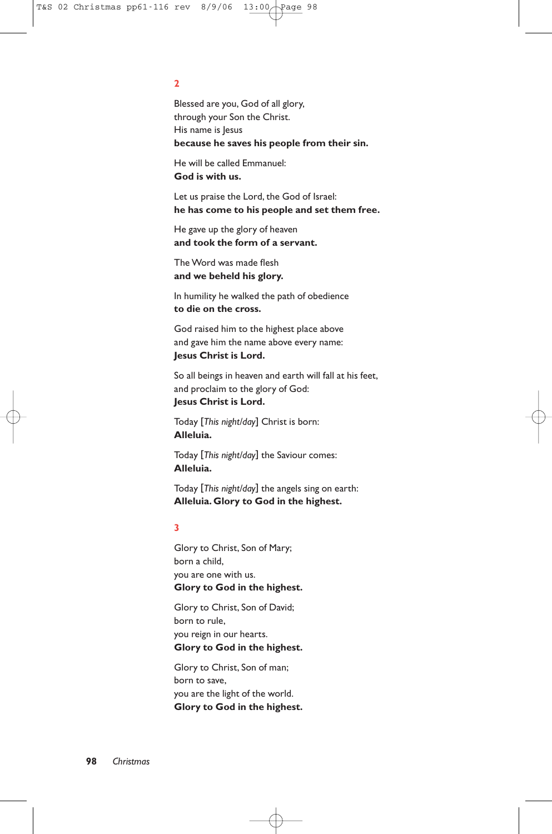## **2**

Blessed are you, God of all glory, through your Son the Christ. His name is Jesus **because he saves his people from their sin.**

He will be called Emmanuel: **God is with us.**

Let us praise the Lord, the God of Israel: **he has come to his people and set them free.**

He gave up the glory of heaven **and took the form of a servant.**

The Word was made flesh **and we beheld his glory.**

In humility he walked the path of obedience **to die on the cross.**

God raised him to the highest place above and gave him the name above every name: **Jesus Christ is Lord.**

So all beings in heaven and earth will fall at his feet, and proclaim to the glory of God: **Jesus Christ is Lord.**

Today [*This night/day*] Christ is born: **Alleluia.**

Today [*This night/day*] the Saviour comes: **Alleluia.**

Today [*This night/day*] the angels sing on earth: **Alleluia. Glory to God in the highest.**

#### **3**

Glory to Christ, Son of Mary; born a child, you are one with us. **Glory to God in the highest.**

Glory to Christ, Son of David; born to rule, you reign in our hearts. **Glory to God in the highest.**

Glory to Christ, Son of man; born to save, you are the light of the world. **Glory to God in the highest.**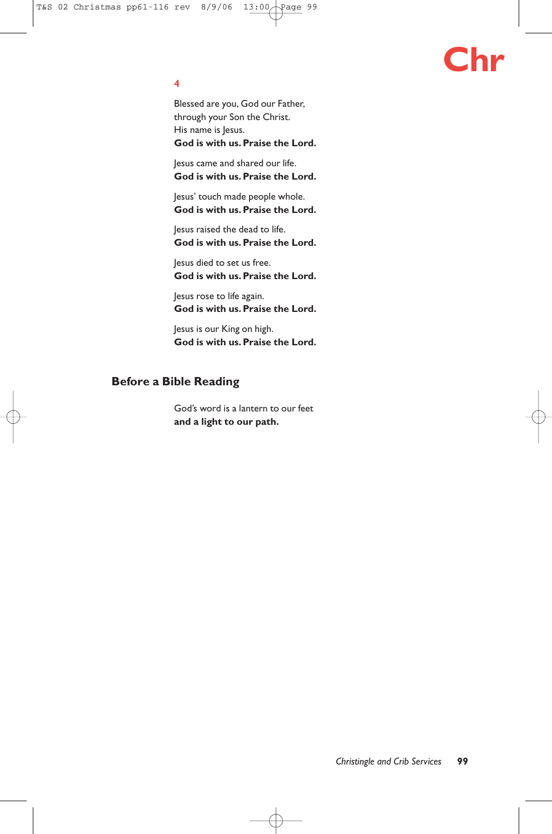**4**

Blessed are you, God our Father, through your Son the Christ. His name is Jesus. **God is with us. Praise the Lord.**

Jesus came and shared our life. **God is with us. Praise the Lord.**

Jesus' touch made people whole. **God is with us. Praise the Lord.**

Jesus raised the dead to life. **God is with us. Praise the Lord.**

Jesus died to set us free. **God is with us. Praise the Lord.**

Jesus rose to life again. **God is with us. Praise the Lord.**

Jesus is our King on high. **God is with us. Praise the Lord.**

## **Before a Bible Reading**

God's word is a lantern to our feet **and a light to our path.**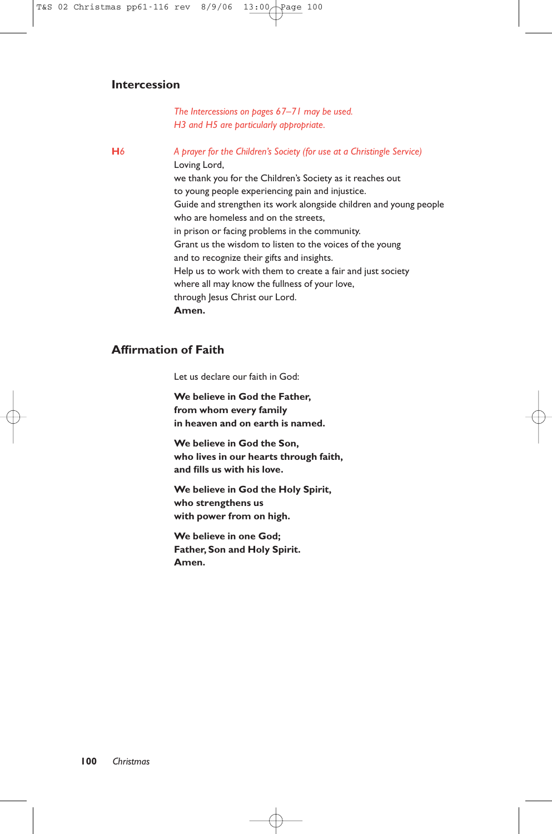#### **Intercession**

*The Intercessions on pages 67–71 may be used. H3 and H5 are particularly appropriate.*

**H***6 A prayer for the Children's Society (for use at a Christingle Service)* Loving Lord, we thank you for the Children's Society as it reaches out to young people experiencing pain and injustice. Guide and strengthen its work alongside children and young people who are homeless and on the streets, in prison or facing problems in the community. Grant us the wisdom to listen to the voices of the young and to recognize their gifts and insights. Help us to work with them to create a fair and just society where all may know the fullness of your love, through Jesus Christ our Lord. **Amen.**

## **Affirmation of Faith**

Let us declare our faith in God:

**We believe in God the Father, from whom every family in heaven and on earth is named.**

**We believe in God the Son, who lives in our hearts through faith, and fills us with his love.**

**We believe in God the Holy Spirit, who strengthens us with power from on high.**

**We believe in one God; Father, Son and Holy Spirit. Amen.**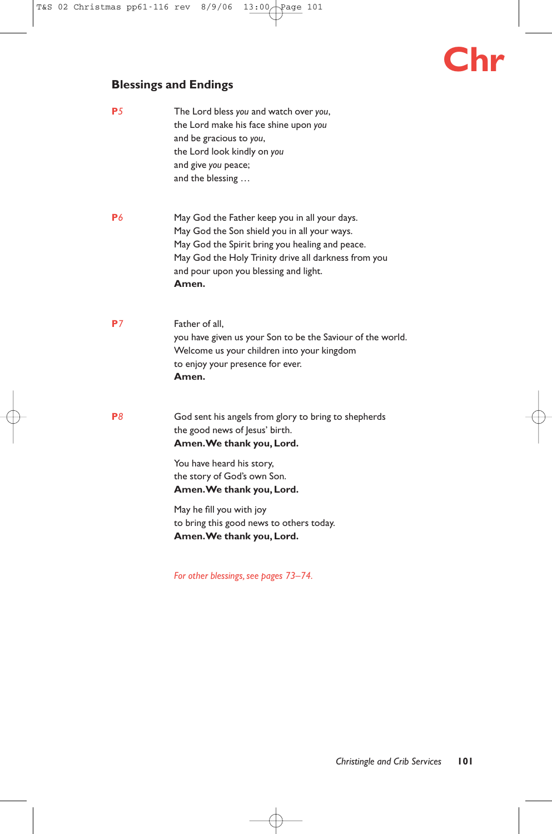## **Blessings and Endings**

| <b>P</b> 5     | The Lord bless you and watch over you,<br>the Lord make his face shine upon you<br>and be gracious to you,<br>the Lord look kindly on you<br>and give you peace;<br>and the blessing                                                                       |
|----------------|------------------------------------------------------------------------------------------------------------------------------------------------------------------------------------------------------------------------------------------------------------|
| P <sub>6</sub> | May God the Father keep you in all your days.<br>May God the Son shield you in all your ways.<br>May God the Spirit bring you healing and peace.<br>May God the Holy Trinity drive all darkness from you<br>and pour upon you blessing and light.<br>Amen. |
| P <sub>7</sub> | Father of all,<br>you have given us your Son to be the Saviour of the world.<br>Welcome us your children into your kingdom<br>to enjoy your presence for ever.<br>Amen.                                                                                    |
| P8             | God sent his angels from glory to bring to shepherds<br>the good news of Jesus' birth.<br>Amen. We thank you, Lord.<br>You have heard his story,<br>the story of God's own Son.<br>Amen. We thank you, Lord.                                               |
|                | May he fill you with joy<br>to bring this good news to others today.<br>Amen. We thank you, Lord.                                                                                                                                                          |
|                | For other blessings, see pages 73-74.                                                                                                                                                                                                                      |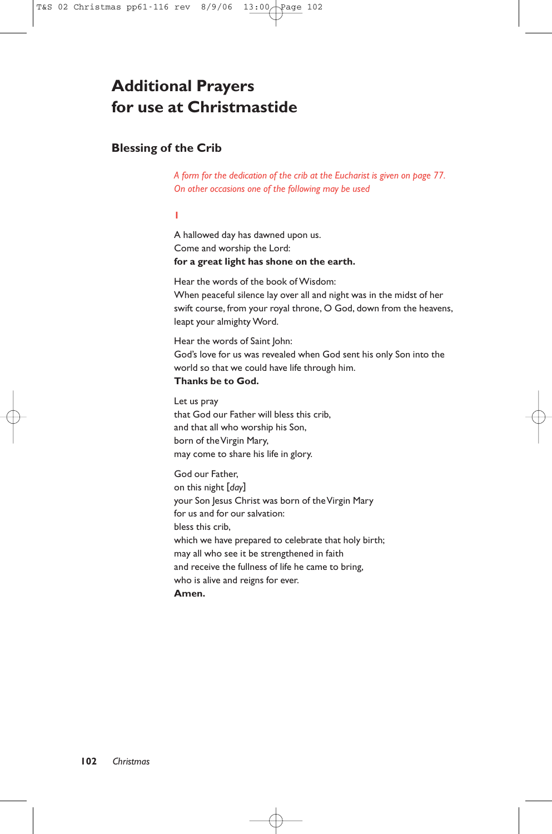## **Additional Prayers for use at Christmastide**

## **Blessing of the Crib**

*A form for the dedication of the crib at the Eucharist is given on page 77. On other occasions one of the following may be used*

#### **1**

A hallowed day has dawned upon us. Come and worship the Lord: **for a great light has shone on the earth.**

Hear the words of the book of Wisdom: When peaceful silence lay over all and night was in the midst of her swift course, from your royal throne, O God, down from the heavens, leapt your almighty Word.

Hear the words of Saint John: God's love for us was revealed when God sent his only Son into the world so that we could have life through him.

#### **Thanks be to God.**

Let us pray that God our Father will bless this crib, and that all who worship his Son, born of the Virgin Mary, may come to share his life in glory.

God our Father, on this night [*day*] your Son Jesus Christ was born of the Virgin Mary for us and for our salvation: bless this crib, which we have prepared to celebrate that holy birth; may all who see it be strengthened in faith and receive the fullness of life he came to bring, who is alive and reigns for ever. **Amen.**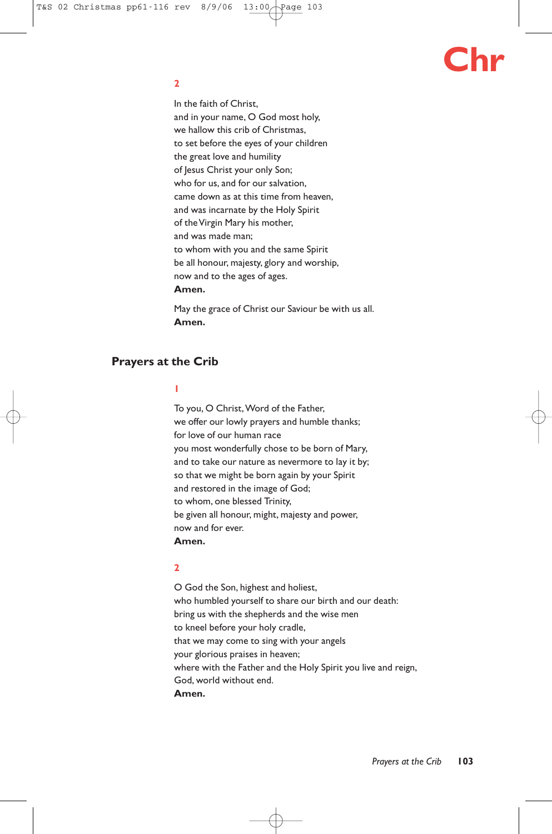## **2**

In the faith of Christ, and in your name, O God most holy, we hallow this crib of Christmas, to set before the eyes of your children the great love and humility of Jesus Christ your only Son; who for us, and for our salvation, came down as at this time from heaven, and was incarnate by the Holy Spirit of the Virgin Mary his mother, and was made man; to whom with you and the same Spirit be all honour, majesty, glory and worship, now and to the ages of ages. **Amen.**

May the grace of Christ our Saviour be with us all. **Amen.**

### **Prayers at the Crib**

### **1**

To you, O Christ, Word of the Father, we offer our lowly prayers and humble thanks; for love of our human race you most wonderfully chose to be born of Mary, and to take our nature as nevermore to lay it by; so that we might be born again by your Spirit and restored in the image of God; to whom, one blessed Trinity, be given all honour, might, majesty and power, now and for ever. **Amen.**

### **2**

O God the Son, highest and holiest, who humbled yourself to share our birth and our death: bring us with the shepherds and the wise men to kneel before your holy cradle, that we may come to sing with your angels your glorious praises in heaven; where with the Father and the Holy Spirit you live and reign, God, world without end. **Amen.**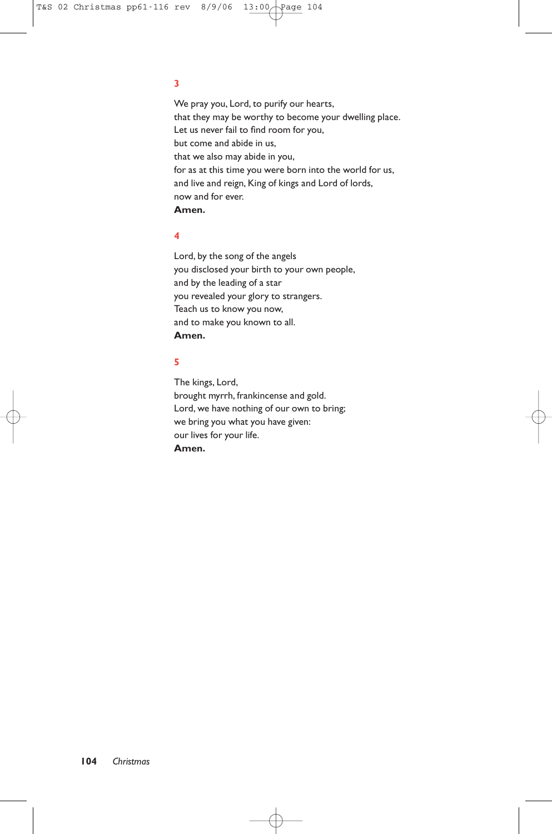## **3**

We pray you, Lord, to purify our hearts, that they may be worthy to become your dwelling place. Let us never fail to find room for you, but come and abide in us, that we also may abide in you, for as at this time you were born into the world for us, and live and reign, King of kings and Lord of lords, now and for ever.

## **Amen.**

#### **4**

Lord, by the song of the angels you disclosed your birth to your own people, and by the leading of a star you revealed your glory to strangers. Teach us to know you now, and to make you known to all. **Amen.**

#### **5**

The kings, Lord, brought myrrh, frankincense and gold. Lord, we have nothing of our own to bring; we bring you what you have given: our lives for your life. **Amen.**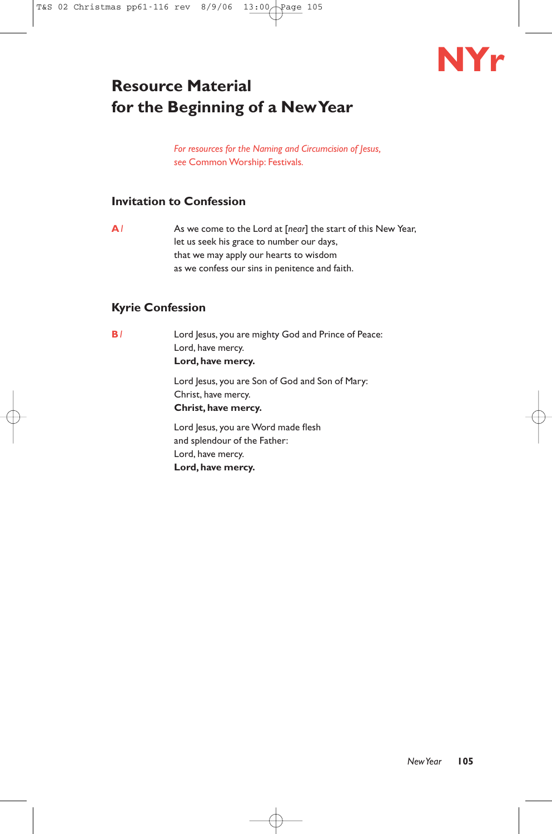## **NYr**

## **Resource Material for the Beginning of a New Year**

*For resources for the Naming and Circumcision of Jesus, see* Common Worship: Festivals*.*

## **Invitation to Confession**

**A***1* As we come to the Lord at [*near*] the start of this New Year, let us seek his grace to number our days, that we may apply our hearts to wisdom as we confess our sins in penitence and faith.

## **Kyrie Confession**

**B***1* Lord Jesus, you are mighty God and Prince of Peace: Lord, have mercy. **Lord, have mercy.**

> Lord Jesus, you are Son of God and Son of Mary: Christ, have mercy. **Christ, have mercy.**

Lord Jesus, you are Word made flesh and splendour of the Father: Lord, have mercy. **Lord, have mercy.**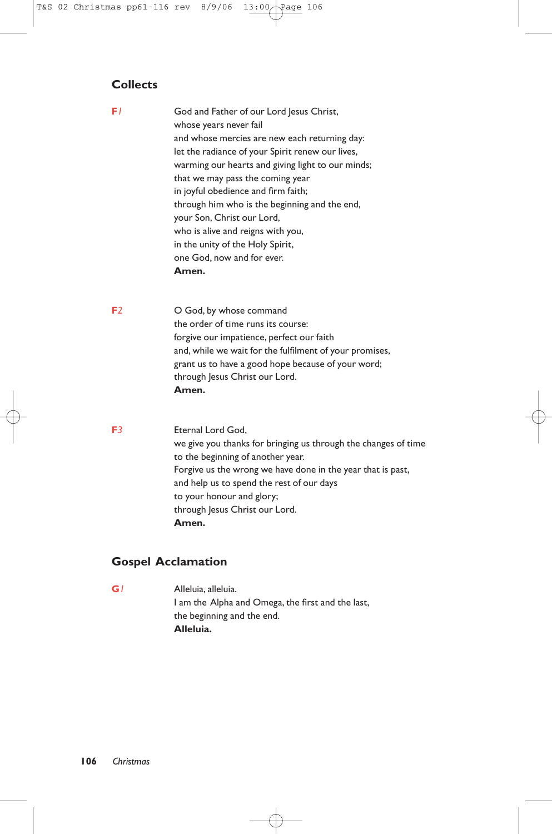## **Collects**

| FI | God and Father of our Lord Jesus Christ,          |
|----|---------------------------------------------------|
|    | whose years never fail                            |
|    | and whose mercies are new each returning day:     |
|    | let the radiance of your Spirit renew our lives,  |
|    | warming our hearts and giving light to our minds; |
|    | that we may pass the coming year                  |
|    | in joyful obedience and firm faith;               |
|    | through him who is the beginning and the end,     |
|    | your Son, Christ our Lord,                        |
|    | who is alive and reigns with you,                 |
|    | in the unity of the Holy Spirit,                  |
|    | one God, now and for ever.                        |
|    | Amen.                                             |
|    |                                                   |

**F***2* O God, by whose command the order of time runs its course: forgive our impatience, perfect our faith and, while we wait for the fulfilment of your promises, grant us to have a good hope because of your word; through Jesus Christ our Lord. **Amen.**

**F***3* Eternal Lord God, we give you thanks for bringing us through the changes of time to the beginning of another year. Forgive us the wrong we have done in the year that is past, and help us to spend the rest of our days to your honour and glory; through Jesus Christ our Lord. **Amen.**

## **Gospel Acclamation**

**G***1* Alleluia, alleluia. I am the Alpha and Omega, the first and the last, the beginning and the end. **Alleluia.**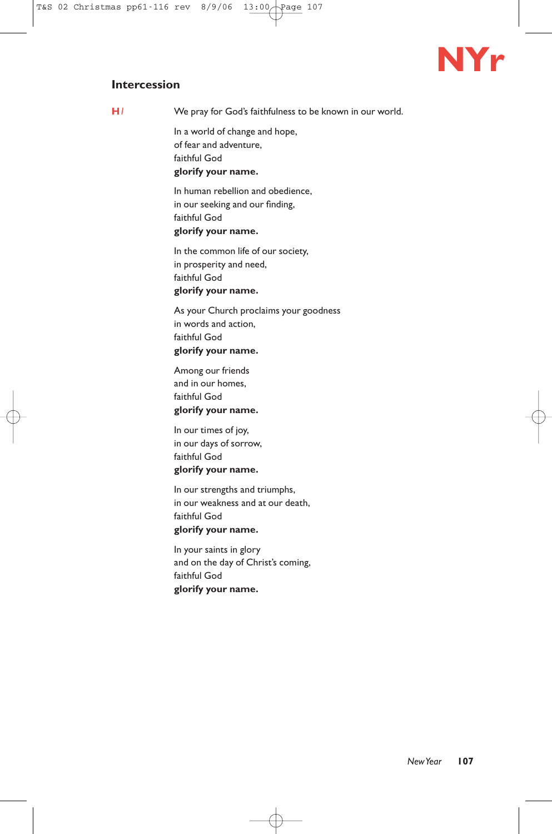

### **Intercession**

**H***1* We pray for God's faithfulness to be known in our world.

In a world of change and hope, of fear and adventure, faithful God **glorify your name.**

In human rebellion and obedience, in our seeking and our finding, faithful God **glorify your name.**

In the common life of our society, in prosperity and need, faithful God **glorify your name.**

As your Church proclaims your goodness in words and action, faithful God **glorify your name.**

Among our friends and in our homes, faithful God **glorify your name.**

In our times of joy, in our days of sorrow, faithful God **glorify your name.**

In our strengths and triumphs, in our weakness and at our death, faithful God **glorify your name.**

In your saints in glory and on the day of Christ's coming, faithful God **glorify your name.**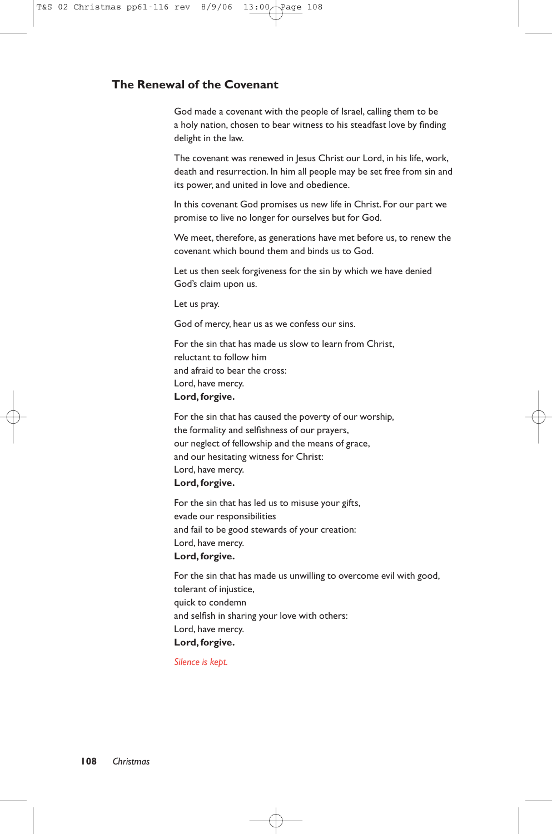## **The Renewal of the Covenant**

God made a covenant with the people of Israel, calling them to be a holy nation, chosen to bear witness to his steadfast love by finding delight in the law.

The covenant was renewed in Jesus Christ our Lord, in his life, work, death and resurrection. In him all people may be set free from sin and its power, and united in love and obedience.

In this covenant God promises us new life in Christ. For our part we promise to live no longer for ourselves but for God.

We meet, therefore, as generations have met before us, to renew the covenant which bound them and binds us to God.

Let us then seek forgiveness for the sin by which we have denied God's claim upon us.

Let us pray.

God of mercy, hear us as we confess our sins.

For the sin that has made us slow to learn from Christ, reluctant to follow him and afraid to bear the cross: Lord, have mercy. **Lord, forgive.**

For the sin that has caused the poverty of our worship, the formality and selfishness of our prayers, our neglect of fellowship and the means of grace, and our hesitating witness for Christ: Lord, have mercy. **Lord, forgive.**

For the sin that has led us to misuse your gifts, evade our responsibilities and fail to be good stewards of your creation: Lord, have mercy. **Lord, forgive.**

For the sin that has made us unwilling to overcome evil with good, tolerant of injustice, quick to condemn and selfish in sharing your love with others: Lord, have mercy. Lord, forgive.

*Silence is kept.*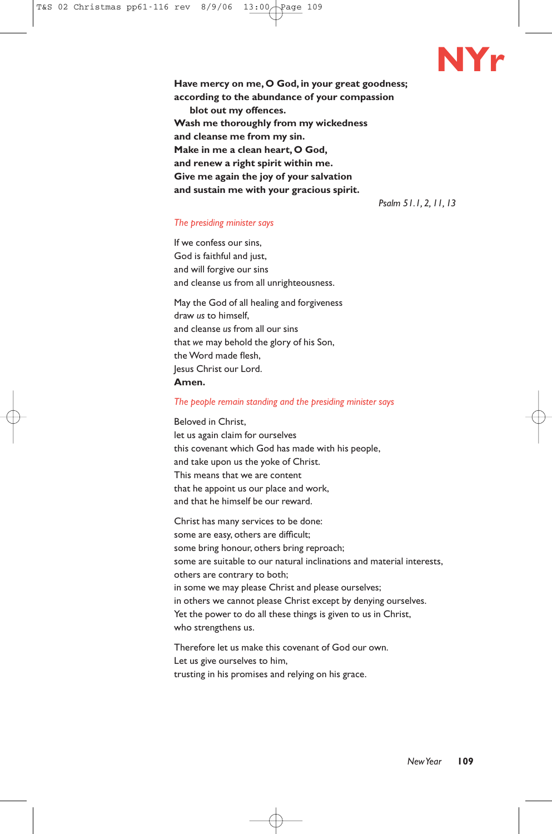

**Have mercy on me, O God, in your great goodness; according to the abundance of your compassion blot out my offences. Wash me thoroughly from my wickedness and cleanse me from my sin. Make in me a clean heart, O God, and renew a right spirit within me. Give me again the joy of your salvation and sustain me with your gracious spirit.**

*Psalm 51.1, 2, 11, 13*

#### *The presiding minister says*

If we confess our sins, God is faithful and just, and will forgive our sins and cleanse us from all unrighteousness.

May the God of all healing and forgiveness draw *us* to himself, and cleanse *us* from all our sins that *we* may behold the glory of his Son, the Word made flesh, Jesus Christ our Lord. **Amen.**

#### *The people remain standing and the presiding minister says*

Beloved in Christ, let us again claim for ourselves this covenant which God has made with his people, and take upon us the yoke of Christ. This means that we are content that he appoint us our place and work, and that he himself be our reward.

Christ has many services to be done: some are easy, others are difficult; some bring honour, others bring reproach; some are suitable to our natural inclinations and material interests, others are contrary to both; in some we may please Christ and please ourselves; in others we cannot please Christ except by denying ourselves. Yet the power to do all these things is given to us in Christ, who strengthens us.

Therefore let us make this covenant of God our own. Let us give ourselves to him, trusting in his promises and relying on his grace.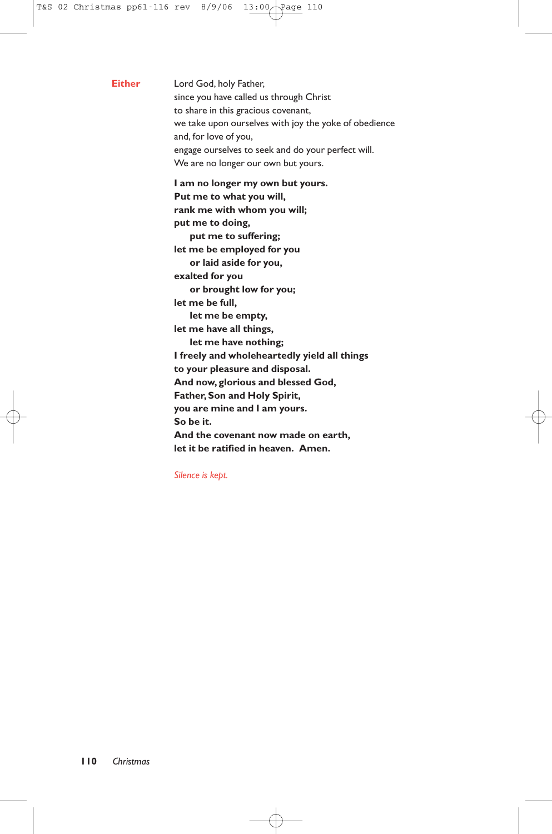**Either** Lord God, holy Father, since you have called us through Christ to share in this gracious covenant, we take upon ourselves with joy the yoke of obedience and, for love of you, engage ourselves to seek and do your perfect will. We are no longer our own but yours. **I am no longer my own but yours. Put me to what you will, rank me with whom you will; put me to doing, put me to suffering; let me be employed for you or laid aside for you, exalted for you or brought low for you; let me be full, let me be empty,**

> **Father, Son and Holy Spirit, you are mine and I am yours. So be it. And the covenant now made on earth,**

**to your pleasure and disposal. And now, glorious and blessed God,**

**I freely and wholeheartedly yield all things**

**let me have all things, let me have nothing;**

**let it be ratified in heaven. Amen.**

*Silence is kept.*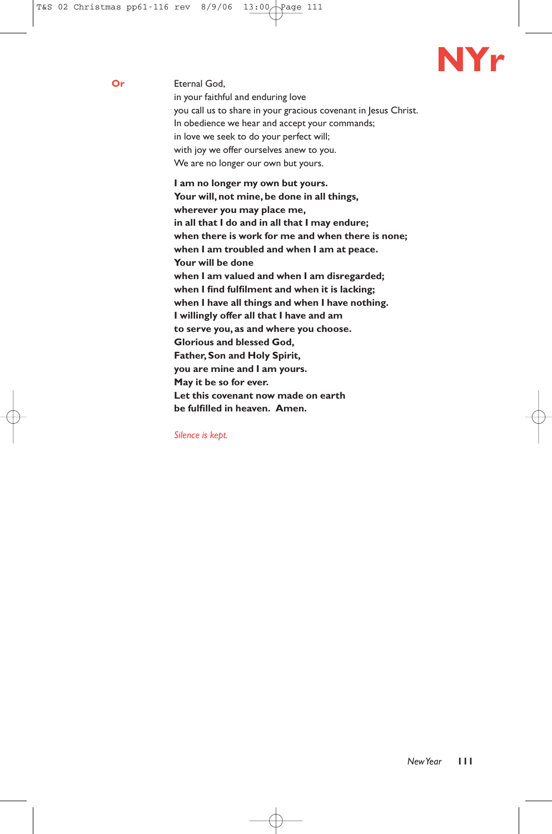

**Or** Eternal God,

in your faithful and enduring love you call us to share in your gracious covenant in Jesus Christ. In obedience we hear and accept your commands; in love we seek to do your perfect will; with joy we offer ourselves anew to you. We are no longer our own but yours.

**I am no longer my own but yours. Your will, not mine, be done in all things, wherever you may place me, in all that I do and in all that I may endure; when there is work for me and when there is none; when I am troubled and when I am at peace. Your will be done when I am valued and when I am disregarded; when I find fulfilment and when it is lacking; when I have all things and when I have nothing. I willingly offer all that I have and am to serve you, as and where you choose. Glorious and blessed God, Father, Son and Holy Spirit, you are mine and I am yours. May it be so for ever. Let this covenant now made on earth be fulfilled in heaven. Amen.**

*Silence is kept.*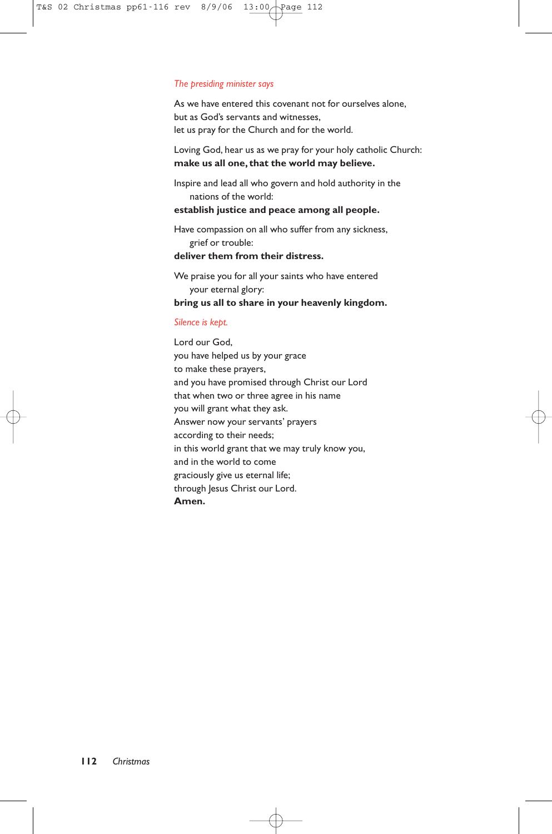#### *The presiding minister says*

As we have entered this covenant not for ourselves alone, but as God's servants and witnesses, let us pray for the Church and for the world.

#### Loving God, hear us as we pray for your holy catholic Church: **make us all one, that the world may believe.**

Inspire and lead all who govern and hold authority in the nations of the world:

#### **establish justice and peace among all people.**

Have compassion on all who suffer from any sickness, grief or trouble:

#### **deliver them from their distress.**

We praise you for all your saints who have entered your eternal glory:

**bring us all to share in your heavenly kingdom.**

#### *Silence is kept.*

Lord our God, you have helped us by your grace to make these prayers, and you have promised through Christ our Lord that when two or three agree in his name you will grant what they ask. Answer now your servants' prayers according to their needs; in this world grant that we may truly know you, and in the world to come graciously give us eternal life; through Jesus Christ our Lord. **Amen.**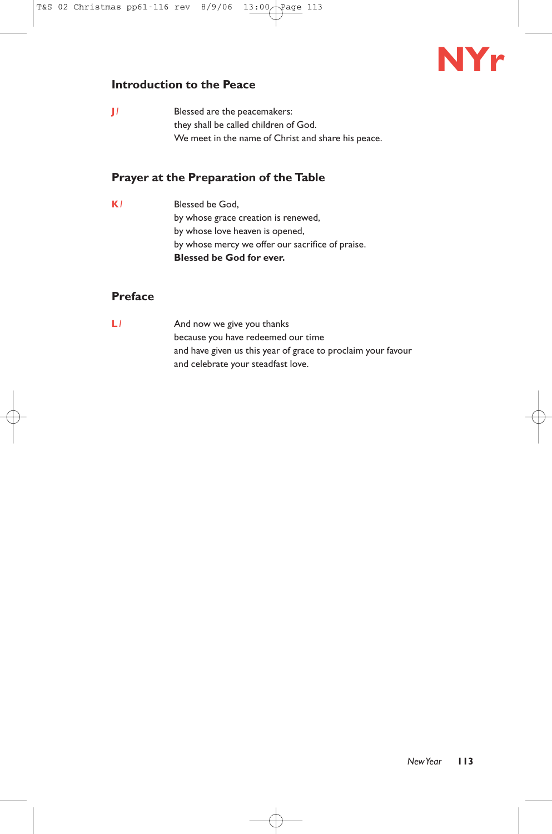## **NYr**

## **Introduction to the Peace**

**J***1* Blessed are the peacemakers: they shall be called children of God. We meet in the name of Christ and share his peace.

## **Prayer at the Preparation of the Table**

**K***1* Blessed be God, by whose grace creation is renewed, by whose love heaven is opened, by whose mercy we offer our sacrifice of praise. **Blessed be God for ever.**

## **Preface**

**L***I* And now we give you thanks because you have redeemed our time and have given us this year of grace to proclaim your favour and celebrate your steadfast love.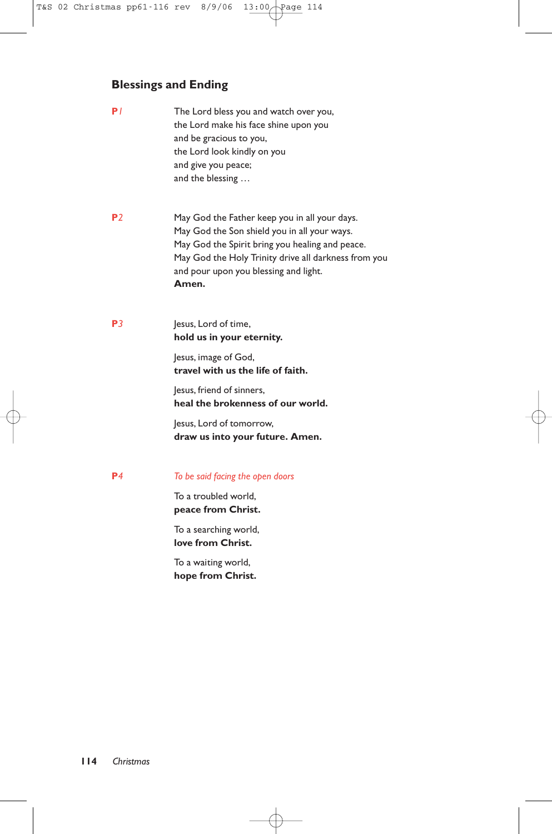## **Blessings and Ending**

| P I            | The Lord bless you and watch over you,<br>the Lord make his face shine upon you<br>and be gracious to you,<br>the Lord look kindly on you<br>and give you peace;<br>and the blessing                                                                       |
|----------------|------------------------------------------------------------------------------------------------------------------------------------------------------------------------------------------------------------------------------------------------------------|
| P <sub>2</sub> | May God the Father keep you in all your days.<br>May God the Son shield you in all your ways.<br>May God the Spirit bring you healing and peace.<br>May God the Holy Trinity drive all darkness from you<br>and pour upon you blessing and light.<br>Amen. |
| P <sub>3</sub> | Jesus, Lord of time,<br>hold us in your eternity.                                                                                                                                                                                                          |
|                | lesus, image of God,<br>travel with us the life of faith.                                                                                                                                                                                                  |
|                | Jesus, friend of sinners,<br>heal the brokenness of our world.                                                                                                                                                                                             |
|                | Jesus, Lord of tomorrow,<br>draw us into your future. Amen.                                                                                                                                                                                                |
| P <sub>4</sub> | To be said facing the open doors                                                                                                                                                                                                                           |
|                | To a troubled world,<br>peace from Christ.                                                                                                                                                                                                                 |
|                | To a searching world,<br>love from Christ.                                                                                                                                                                                                                 |

To a waiting world, **hope from Christ.**